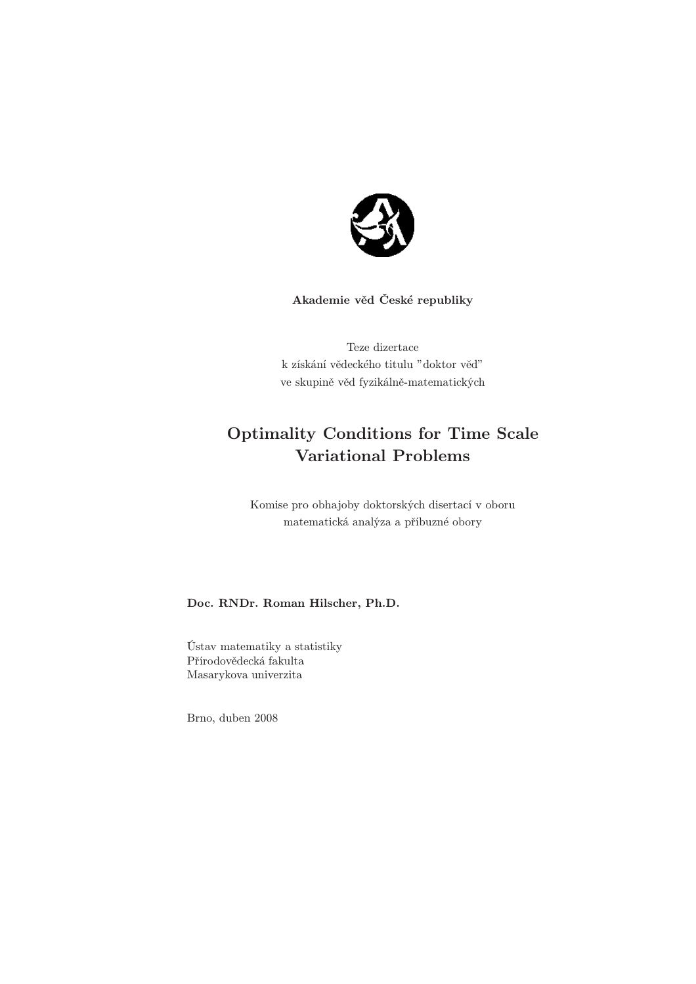

# Akademie věd České republiky

Teze dizertace k získání vědeckého titulu "doktor věd" ve skupině věd fyzikálně-matematických

# Optimality Conditions for Time Scale Variational Problems

Komise pro obhajoby doktorských disertací v oboru matematická analýza a příbuzné obory

# Doc. RNDr. Roman Hilscher, Ph.D.

Ústav matematiky a statistiky Přírodovědecká fakulta Masarykova univerzita

Brno, duben 2008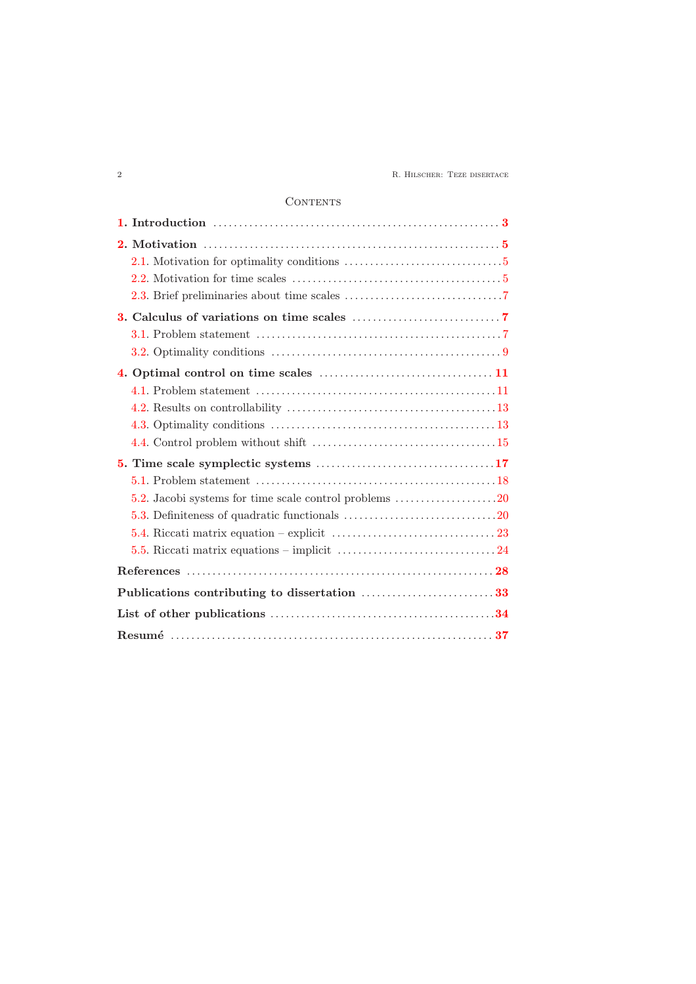2 R. Hilscher: Teze disertace

# **CONTENTS**

| 2.2. Motivation for time scales $\dots \dots \dots \dots \dots \dots \dots \dots \dots \dots \dots$ |  |
|-----------------------------------------------------------------------------------------------------|--|
|                                                                                                     |  |
|                                                                                                     |  |
|                                                                                                     |  |
|                                                                                                     |  |
|                                                                                                     |  |
|                                                                                                     |  |
|                                                                                                     |  |
|                                                                                                     |  |
|                                                                                                     |  |
|                                                                                                     |  |
|                                                                                                     |  |
| 5.2. Jacobi systems for time scale control problems 20                                              |  |
|                                                                                                     |  |
| 5.4. Riccati matrix equation – explicit $\dots\dots\dots\dots\dots\dots\dots\dots\dots\dots$        |  |
|                                                                                                     |  |
|                                                                                                     |  |
| Publications contributing to dissertation 33                                                        |  |
|                                                                                                     |  |
|                                                                                                     |  |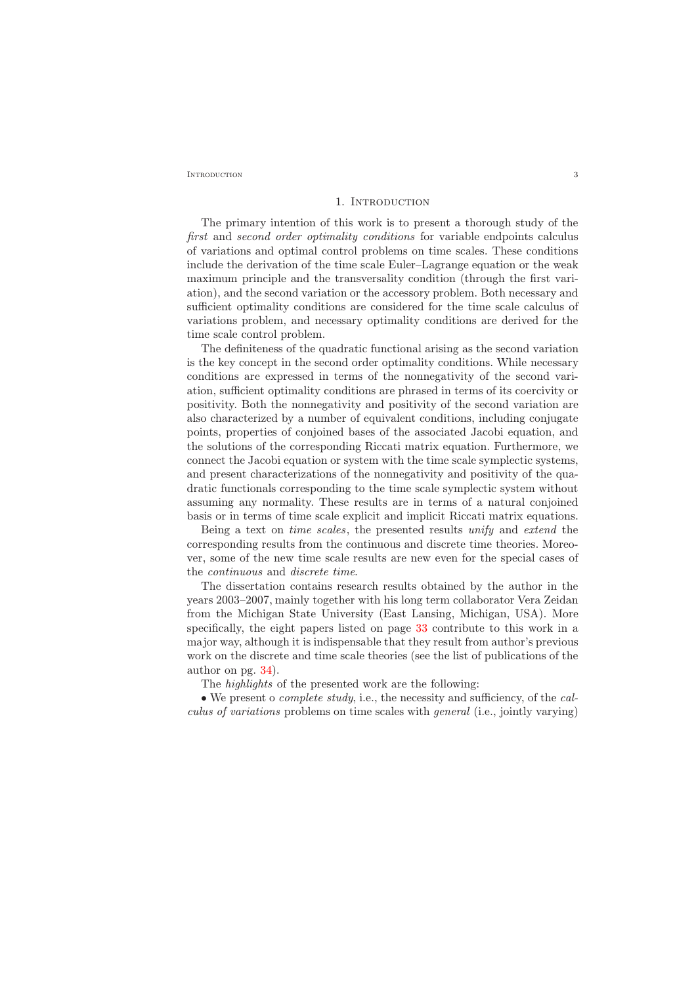<span id="page-2-0"></span>INTRODUCTION 3

### 1. INTRODUCTION

The primary intention of this work is to present a thorough study of the first and second order optimality conditions for variable endpoints calculus of variations and optimal control problems on time scales. These conditions include the derivation of the time scale Euler–Lagrange equation or the weak maximum principle and the transversality condition (through the first variation), and the second variation or the accessory problem. Both necessary and sufficient optimality conditions are considered for the time scale calculus of variations problem, and necessary optimality conditions are derived for the time scale control problem.

The definiteness of the quadratic functional arising as the second variation is the key concept in the second order optimality conditions. While necessary conditions are expressed in terms of the nonnegativity of the second variation, sufficient optimality conditions are phrased in terms of its coercivity or positivity. Both the nonnegativity and positivity of the second variation are also characterized by a number of equivalent conditions, including conjugate points, properties of conjoined bases of the associated Jacobi equation, and the solutions of the corresponding Riccati matrix equation. Furthermore, we connect the Jacobi equation or system with the time scale symplectic systems, and present characterizations of the nonnegativity and positivity of the quadratic functionals corresponding to the time scale symplectic system without assuming any normality. These results are in terms of a natural conjoined basis or in terms of time scale explicit and implicit Riccati matrix equations.

Being a text on time scales, the presented results unify and extend the corresponding results from the continuous and discrete time theories. Moreover, some of the new time scale results are new even for the special cases of the continuous and discrete time.

The dissertation contains research results obtained by the author in the years 2003–2007, mainly together with his long term collaborator Vera Zeidan from the Michigan State University (East Lansing, Michigan, USA). More specifically, the eight papers listed on page [33](#page-32-0) contribute to this work in a major way, although it is indispensable that they result from author's previous work on the discrete and time scale theories (see the list of publications of the author on pg. [34\)](#page-33-0).

The highlights of the presented work are the following:

• We present o *complete study*, i.e., the necessity and sufficiency, of the *cal*culus of variations problems on time scales with general (i.e., jointly varying)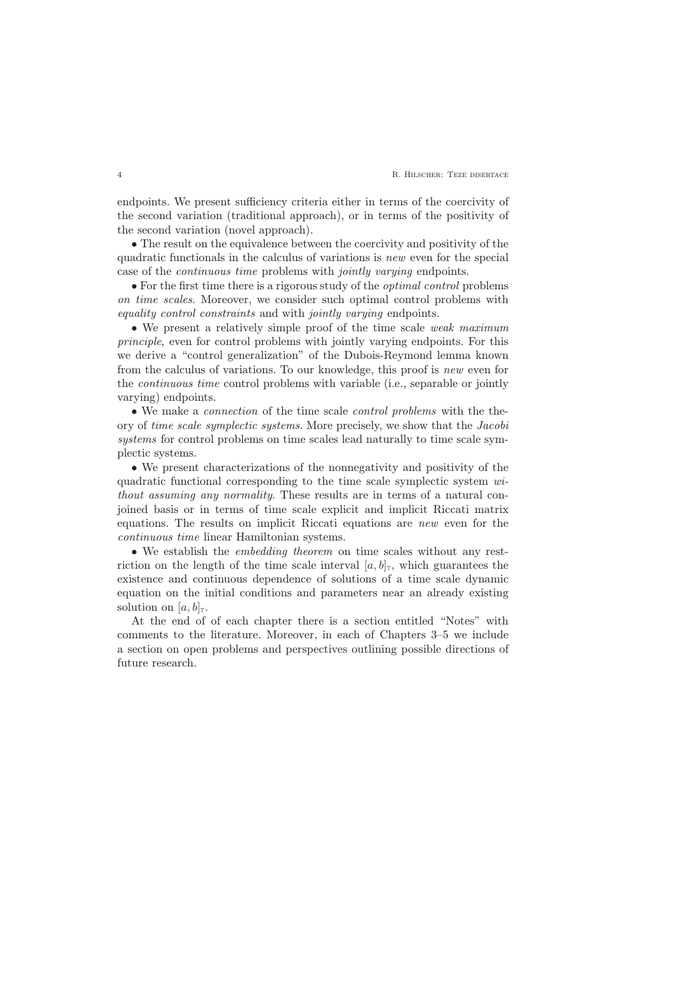endpoints. We present sufficiency criteria either in terms of the coercivity of the second variation (traditional approach), or in terms of the positivity of the second variation (novel approach).

• The result on the equivalence between the coercivity and positivity of the quadratic functionals in the calculus of variations is new even for the special case of the continuous time problems with jointly varying endpoints.

• For the first time there is a rigorous study of the optimal control problems on time scales. Moreover, we consider such optimal control problems with equality control constraints and with jointly varying endpoints.

• We present a relatively simple proof of the time scale weak maximum principle, even for control problems with jointly varying endpoints. For this we derive a "control generalization" of the Dubois-Reymond lemma known from the calculus of variations. To our knowledge, this proof is new even for the continuous time control problems with variable (i.e., separable or jointly varying) endpoints.

• We make a connection of the time scale control problems with the theory of time scale symplectic systems. More precisely, we show that the Jacobi systems for control problems on time scales lead naturally to time scale symplectic systems.

• We present characterizations of the nonnegativity and positivity of the quadratic functional corresponding to the time scale symplectic system without assuming any normality. These results are in terms of a natural conjoined basis or in terms of time scale explicit and implicit Riccati matrix equations. The results on implicit Riccati equations are new even for the continuous time linear Hamiltonian systems.

• We establish the embedding theorem on time scales without any restriction on the length of the time scale interval  $[a, b]_T$ , which guarantees the existence and continuous dependence of solutions of a time scale dynamic equation on the initial conditions and parameters near an already existing solution on  $[a, b]_T$ .

At the end of of each chapter there is a section entitled "Notes" with comments to the literature. Moreover, in each of Chapters 3–5 we include a section on open problems and perspectives outlining possible directions of future research.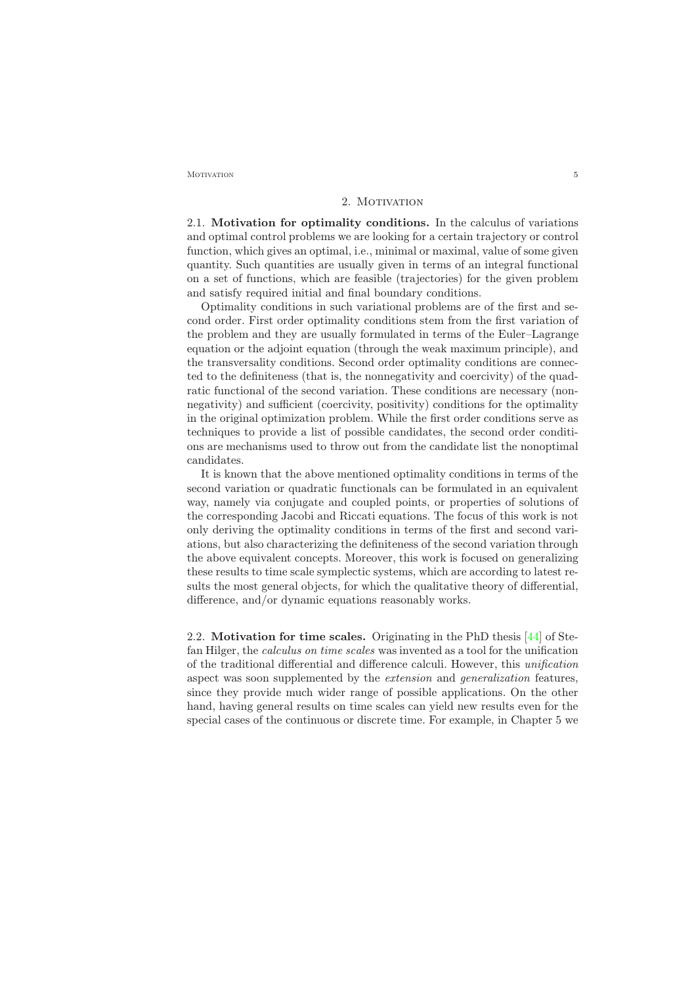<span id="page-4-0"></span> $M$ otivation  $5$ 

## 2. MOTIVATION

<span id="page-4-1"></span>2.1. Motivation for optimality conditions. In the calculus of variations and optimal control problems we are looking for a certain trajectory or control function, which gives an optimal, i.e., minimal or maximal, value of some given quantity. Such quantities are usually given in terms of an integral functional on a set of functions, which are feasible (trajectories) for the given problem and satisfy required initial and final boundary conditions.

Optimality conditions in such variational problems are of the first and second order. First order optimality conditions stem from the first variation of the problem and they are usually formulated in terms of the Euler–Lagrange equation or the adjoint equation (through the weak maximum principle), and the transversality conditions. Second order optimality conditions are connected to the definiteness (that is, the nonnegativity and coercivity) of the quadratic functional of the second variation. These conditions are necessary (nonnegativity) and sufficient (coercivity, positivity) conditions for the optimality in the original optimization problem. While the first order conditions serve as techniques to provide a list of possible candidates, the second order conditions are mechanisms used to throw out from the candidate list the nonoptimal candidates.

It is known that the above mentioned optimality conditions in terms of the second variation or quadratic functionals can be formulated in an equivalent way, namely via conjugate and coupled points, or properties of solutions of the corresponding Jacobi and Riccati equations. The focus of this work is not only deriving the optimality conditions in terms of the first and second variations, but also characterizing the definiteness of the second variation through the above equivalent concepts. Moreover, this work is focused on generalizing these results to time scale symplectic systems, which are according to latest results the most general objects, for which the qualitative theory of differential, difference, and/or dynamic equations reasonably works.

<span id="page-4-2"></span>2.2. Motivation for time scales. Originating in the PhD thesis [\[44\]](#page-29-0) of Stefan Hilger, the calculus on time scales was invented as a tool for the unification of the traditional differential and difference calculi. However, this unification aspect was soon supplemented by the extension and generalization features, since they provide much wider range of possible applications. On the other hand, having general results on time scales can yield new results even for the special cases of the continuous or discrete time. For example, in Chapter 5 we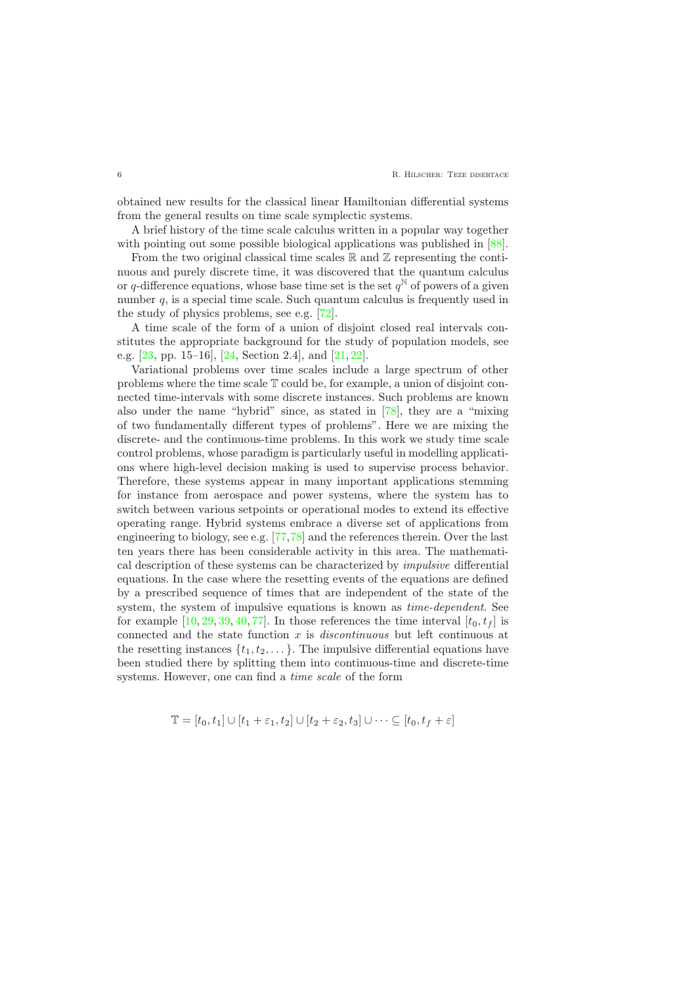obtained new results for the classical linear Hamiltonian differential systems from the general results on time scale symplectic systems.

A brief history of the time scale calculus written in a popular way together with pointing out some possible biological applications was published in  $[88]$ .

From the two original classical time scales  $\mathbb R$  and  $\mathbb Z$  representing the continuous and purely discrete time, it was discovered that the quantum calculus or q-difference equations, whose base time set is the set  $q^{\mathbb{N}}$  of powers of a given number  $q$ , is a special time scale. Such quantum calculus is frequently used in the study of physics problems, see e.g. [\[72\]](#page-30-0).

A time scale of the form of a union of disjoint closed real intervals constitutes the appropriate background for the study of population models, see e.g. [\[23,](#page-28-0) pp. 15–16], [\[24,](#page-28-1) Section 2.4], and [\[21,](#page-28-2) [22\]](#page-28-3).

Variational problems over time scales include a large spectrum of other problems where the time scale T could be, for example, a union of disjoint connected time-intervals with some discrete instances. Such problems are known also under the name "hybrid" since, as stated in [\[78\]](#page-31-1), they are a "mixing of two fundamentally different types of problems". Here we are mixing the discrete- and the continuous-time problems. In this work we study time scale control problems, whose paradigm is particularly useful in modelling applications where high-level decision making is used to supervise process behavior. Therefore, these systems appear in many important applications stemming for instance from aerospace and power systems, where the system has to switch between various setpoints or operational modes to extend its effective operating range. Hybrid systems embrace a diverse set of applications from engineering to biology, see e.g. [\[77,](#page-31-2)[78\]](#page-31-1) and the references therein. Over the last ten years there has been considerable activity in this area. The mathematical description of these systems can be characterized by impulsive differential equations. In the case where the resetting events of the equations are defined by a prescribed sequence of times that are independent of the state of the system, the system of impulsive equations is known as time-dependent. See for example  $[10, 29, 39, 40, 77]$  $[10, 29, 39, 40, 77]$  $[10, 29, 39, 40, 77]$  $[10, 29, 39, 40, 77]$  $[10, 29, 39, 40, 77]$  $[10, 29, 39, 40, 77]$  $[10, 29, 39, 40, 77]$  $[10, 29, 39, 40, 77]$ . In those references the time interval  $[t_0, t_f]$  is connected and the state function  $x$  is *discontinuous* but left continuous at the resetting instances  $\{t_1, t_2, \ldots\}$ . The impulsive differential equations have been studied there by splitting them into continuous-time and discrete-time systems. However, one can find a time scale of the form

$$
\mathbb{T} = [t_0, t_1] \cup [t_1 + \varepsilon_1, t_2] \cup [t_2 + \varepsilon_2, t_3] \cup \cdots \subseteq [t_0, t_f + \varepsilon]
$$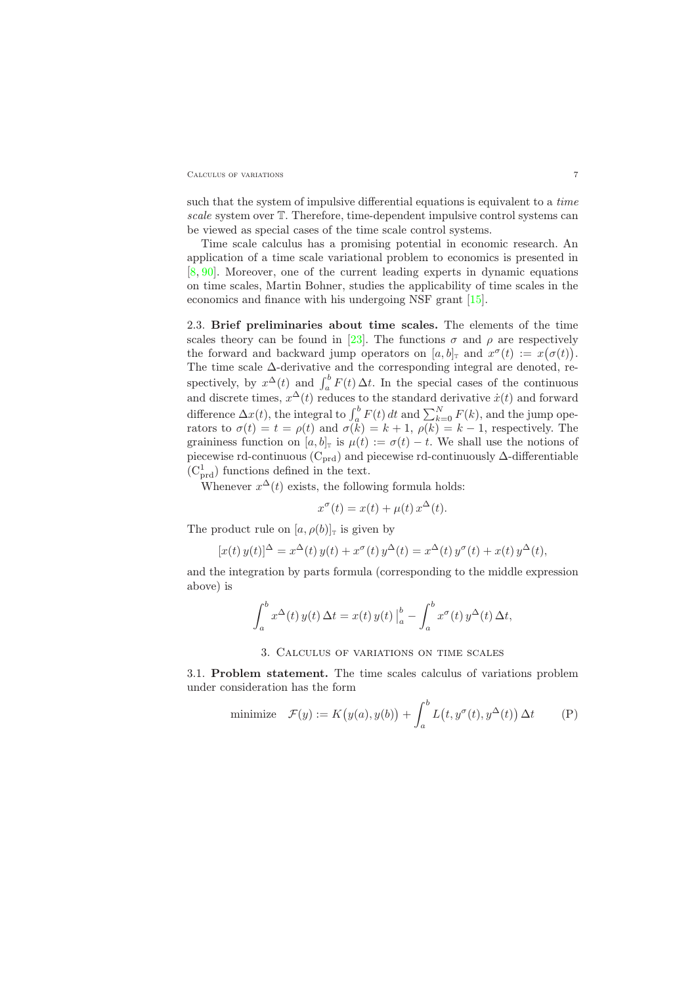#### CALCULUS OF VARIATIONS 7

such that the system of impulsive differential equations is equivalent to a time scale system over T. Therefore, time-dependent impulsive control systems can be viewed as special cases of the time scale control systems.

Time scale calculus has a promising potential in economic research. An application of a time scale variational problem to economics is presented in [\[8,](#page-27-2) [90\]](#page-31-3). Moreover, one of the current leading experts in dynamic equations on time scales, Martin Bohner, studies the applicability of time scales in the economics and finance with his undergoing NSF grant [\[15\]](#page-27-3).

<span id="page-6-0"></span>2.3. Brief preliminaries about time scales. The elements of the time scales theory can be found in [\[23\]](#page-28-0). The functions  $\sigma$  and  $\rho$  are respectively the forward and backward jump operators on  $[a, b]$ <sub>T</sub> and  $x^{\sigma}(t) := x(\sigma(t))$ . The time scale ∆-derivative and the corresponding integral are denoted, respectively, by  $x^{\Delta}(t)$  and  $\int_a^b F(t) \Delta t$ . In the special cases of the continuous and discrete times,  $x^{\Delta}(t)$  reduces to the standard derivative  $\dot{x}(t)$  and forward difference  $\Delta x(t)$ , the integral to  $\int_a^b F(t) dt$  and  $\sum_{k=0}^N F(k)$ , and the jump operators to  $\sigma(t) = t = \rho(t)$  and  $\sigma(k) = k + 1$ ,  $\rho(k) = k - 1$ , respectively. The graininess function on  $[a, b]_T$  is  $\mu(t) := \sigma(t) - t$ . We shall use the notions of piecewise rd-continuous ( $C_{\text{prd}}$ ) and piecewise rd-continuously  $\Delta$ -differentiable  $(C<sub>pred</sub><sup>1</sup>)$  functions defined in the text.

Whenever  $x^{\Delta}(t)$  exists, the following formula holds:

$$
x^{\sigma}(t) = x(t) + \mu(t) x^{\Delta}(t).
$$

The product rule on  $[a, \rho(b)]_T$  is given by

$$
[x(t) y(t)]^{\Delta} = x^{\Delta}(t) y(t) + x^{\sigma}(t) y^{\Delta}(t) = x^{\Delta}(t) y^{\sigma}(t) + x(t) y^{\Delta}(t),
$$

and the integration by parts formula (corresponding to the middle expression above) is

$$
\int_a^b x^{\Delta}(t) y(t) \Delta t = x(t) y(t) \Big|_a^b - \int_a^b x^{\sigma}(t) y^{\Delta}(t) \Delta t,
$$

## 3. Calculus of variations on time scales

<span id="page-6-2"></span><span id="page-6-1"></span>3.1. Problem statement. The time scales calculus of variations problem under consideration has the form

minimize 
$$
\mathcal{F}(y) := K(y(a), y(b)) + \int_a^b L(t, y^{\sigma}(t), y^{\Delta}(t)) \Delta t
$$
 (P)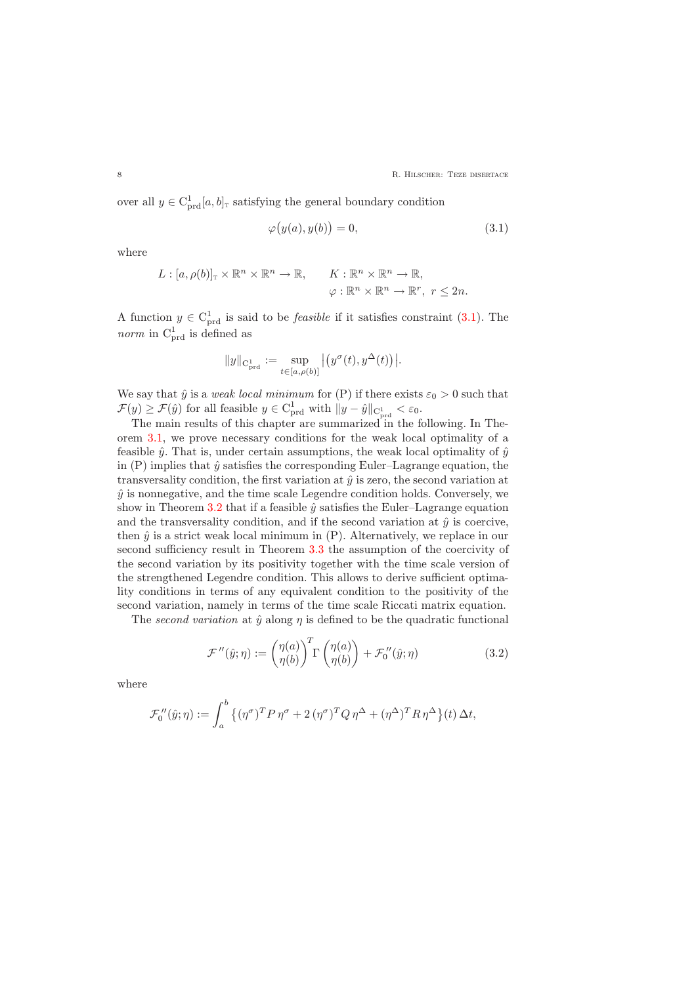over all  $y \in C_{\text{prd}}^{1}[a, b]_{\text{T}}$  satisfying the general boundary condition

$$
\varphi\big(y(a), y(b)\big) = 0,\tag{3.1}
$$

where

<span id="page-7-0"></span>
$$
L : [a, \rho(b)]_{\mathbb{T}} \times \mathbb{R}^n \times \mathbb{R}^n \to \mathbb{R}, \qquad K : \mathbb{R}^n \times \mathbb{R}^n \to \mathbb{R},
$$
  

$$
\varphi : \mathbb{R}^n \times \mathbb{R}^n \to \mathbb{R}^r, r \leq 2n.
$$

A function  $y \in C<sub>prd</sub><sup>1</sup>$  is said to be *feasible* if it satisfies constraint [\(3.1\)](#page-7-0). The *norm* in  $C_{\text{prd}}^1$  is defined as

$$
||y||_{\mathcal{C}_{\mathrm{prd}}^{1}}:=\sup_{t\in [a,\rho(b)]}\big|\big(y^{\sigma}(t),y^{\Delta}(t)\big)\big|.
$$

We say that  $\hat{y}$  is a *weak local minimum* for (P) if there exists  $\varepsilon_0 > 0$  such that  $\mathcal{F}(y) \geq \mathcal{F}(\hat{y})$  for all feasible  $y \in C^1_{\text{prd}}$  with  $||y - \hat{y}||_{C^1_{\text{pred}}} < \varepsilon_0$ .

The main results of this chapter are summarized in the following. In Theorem [3.1,](#page-8-1) we prove necessary conditions for the weak local optimality of a feasible  $\hat{y}$ . That is, under certain assumptions, the weak local optimality of  $\hat{y}$ in  $(P)$  implies that  $\hat{y}$  satisfies the corresponding Euler–Lagrange equation, the transversality condition, the first variation at  $\hat{y}$  is zero, the second variation at  $\hat{y}$  is nonnegative, and the time scale Legendre condition holds. Conversely, we show in Theorem [3.2](#page-9-0) that if a feasible  $\hat{y}$  satisfies the Euler–Lagrange equation and the transversality condition, and if the second variation at  $\hat{y}$  is coercive, then  $\hat{y}$  is a strict weak local minimum in  $(P)$ . Alternatively, we replace in our second sufficiency result in Theorem [3.3](#page-9-1) the assumption of the coercivity of the second variation by its positivity together with the time scale version of the strengthened Legendre condition. This allows to derive sufficient optimality conditions in terms of any equivalent condition to the positivity of the second variation, namely in terms of the time scale Riccati matrix equation.

The second variation at  $\hat{y}$  along  $\eta$  is defined to be the quadratic functional

$$
\mathcal{F}''(\hat{y};\eta) := \begin{pmatrix} \eta(a) \\ \eta(b) \end{pmatrix}^T \Gamma \begin{pmatrix} \eta(a) \\ \eta(b) \end{pmatrix} + \mathcal{F}_0''(\hat{y};\eta) \tag{3.2}
$$

<span id="page-7-1"></span>where

$$
\mathcal{F}_0''(\hat{y};\eta) := \int_a^b \left\{ (\eta^\sigma)^T P \, \eta^\sigma + 2 \, (\eta^\sigma)^T Q \, \eta^\Delta + (\eta^\Delta)^T R \, \eta^\Delta \right\}(t) \, \Delta t,
$$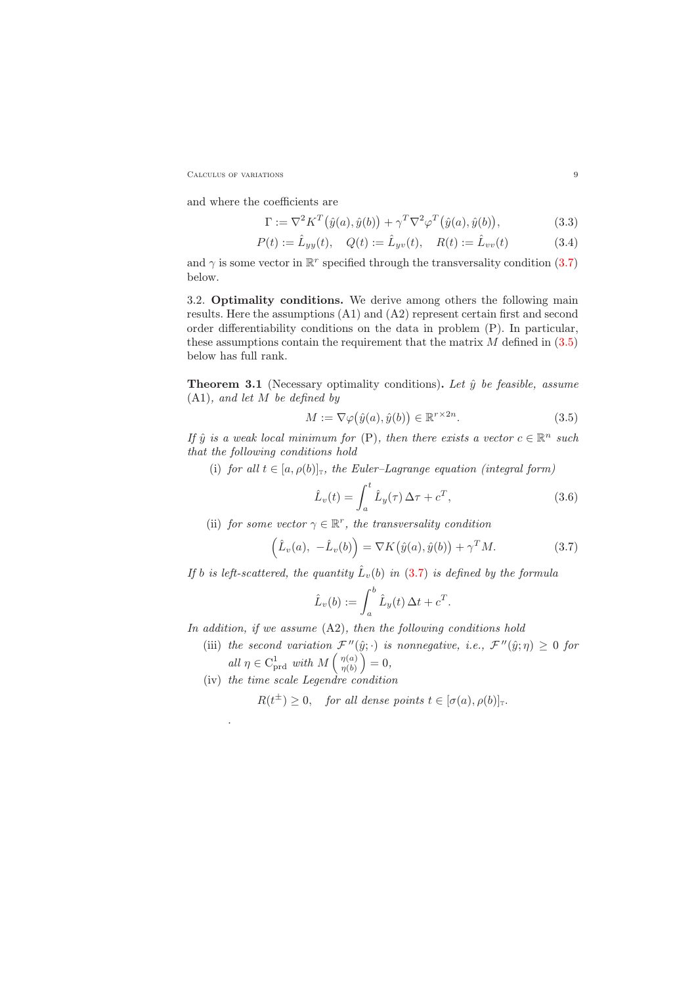CALCULUS OF VARIATIONS 9

and where the coefficients are

<span id="page-8-6"></span>
$$
\Gamma := \nabla^2 K^T(\hat{y}(a), \hat{y}(b)) + \gamma^T \nabla^2 \varphi^T(\hat{y}(a), \hat{y}(b)),
$$
\n(3.3)

<span id="page-8-5"></span>
$$
P(t) := \hat{L}_{yy}(t), \quad Q(t) := \hat{L}_{yv}(t), \quad R(t) := \hat{L}_{vv}(t)
$$
\n(3.4)

and  $\gamma$  is some vector in  $\mathbb{R}^r$  specified through the transversality condition [\(3.7\)](#page-8-2) below.

<span id="page-8-0"></span>3.2. Optimality conditions. We derive among others the following main results. Here the assumptions (A1) and (A2) represent certain first and second order differentiability conditions on the data in problem (P). In particular, these assumptions contain the requirement that the matrix  $M$  defined in  $(3.5)$ below has full rank.

<span id="page-8-1"></span>**Theorem 3.1** (Necessary optimality conditions). Let  $\hat{y}$  be feasible, assume (A1), and let M be defined by

$$
M := \nabla \varphi(\hat{y}(a), \hat{y}(b)) \in \mathbb{R}^{r \times 2n}.
$$
\n(3.5)

<span id="page-8-3"></span>If  $\hat{y}$  is a weak local minimum for (P), then there exists a vector  $c \in \mathbb{R}^n$  such that the following conditions hold

(i) for all  $t \in [a, \rho(b)]_T$ , the Euler-Lagrange equation (integral form)

$$
\hat{L}_v(t) = \int_a^t \hat{L}_y(\tau) \Delta \tau + c^T,
$$
\n(3.6)

<span id="page-8-4"></span>(ii) for some vector  $\gamma \in \mathbb{R}^r$ , the transversality condition

$$
\left(\hat{L}_v(a), -\hat{L}_v(b)\right) = \nabla K(\hat{y}(a), \hat{y}(b)) + \gamma^T M.
$$
\n(3.7)

<span id="page-8-2"></span>If b is left-scattered, the quantity  $\hat{L}_v(b)$  in [\(3.7\)](#page-8-2) is defined by the formula

$$
\hat{L}_v(b) := \int_a^b \hat{L}_y(t) \,\Delta t + c^T.
$$

In addition, if we assume  $(A2)$ , then the following conditions hold

- (iii) the second variation  $\mathcal{F}''(\hat{y};\cdot)$  is nonnegative, i.e.,  $\mathcal{F}''(\hat{y};\eta) \geq 0$  for all  $\eta \in C^1_{\text{prd}}$  with  $M\left(\begin{array}{c} \eta(a) \\ \eta(b) \end{array}\right)$  $\frac{\eta(a)}{\eta(b)}\Big) = 0,$
- (iv) the time scale Legendre condition

.

 $R(t^{\pm}) \geq 0$ , for all dense points  $t \in [\sigma(a), \rho(b)]_{\mathbb{T}}$ .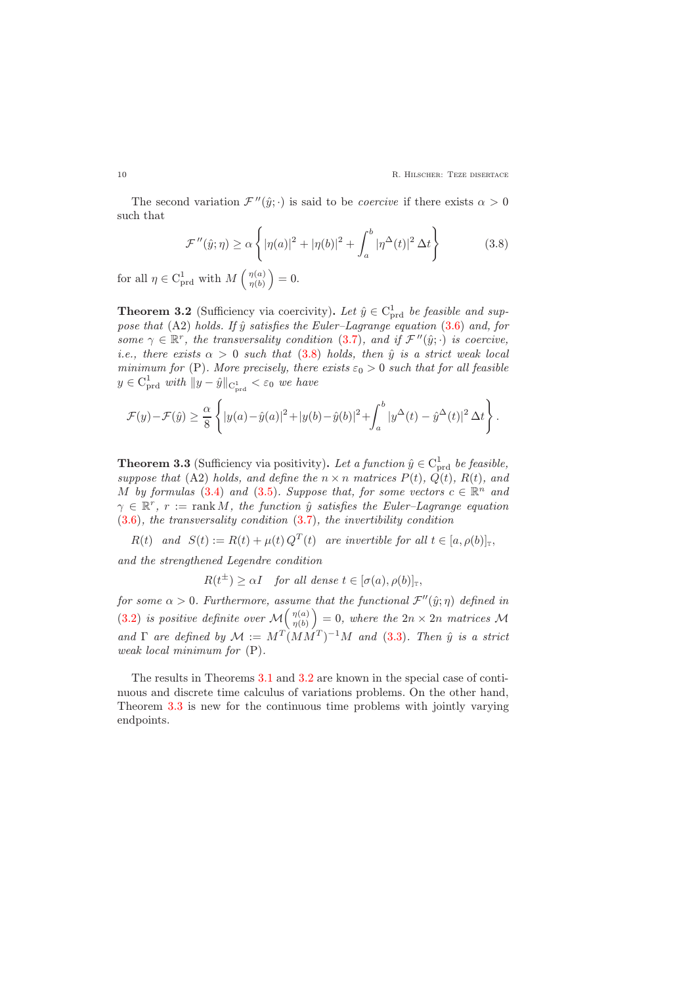The second variation  $\mathcal{F}''(\hat{y};\cdot)$  is said to be *coercive* if there exists  $\alpha > 0$ such that

$$
\mathcal{F}''(\hat{y};\eta) \ge \alpha \left\{ |\eta(a)|^2 + |\eta(b)|^2 + \int_a^b |\eta^{\Delta}(t)|^2 \,\Delta t \right\} \tag{3.8}
$$

<span id="page-9-2"></span><span id="page-9-0"></span>for all  $\eta \in C^1_{\text{prd}}$  with  $M\left(\frac{\eta(a)}{\eta(b)}\right)$  $\frac{\eta(a)}{\eta(b)}\Big) = 0.$ 

**Theorem 3.2** (Sufficiency via coercivity). Let  $\hat{y} \in C^1_{\text{prd}}$  be feasible and suppose that (A2) holds. If  $\hat{y}$  satisfies the Euler–Lagrange equation [\(3.6\)](#page-8-4) and, for some  $\gamma \in \mathbb{R}^r$ , the transversality condition [\(3.7\)](#page-8-2), and if  $\mathcal{F}''(\hat{y};\cdot)$  is coercive, i.e., there exists  $\alpha > 0$  such that [\(3.8\)](#page-9-2) holds, then  $\hat{y}$  is a strict weak local minimum for (P). More precisely, there exists  $\varepsilon_0 > 0$  such that for all feasible  $y \in C^1_{\text{prd}}$  with  $||y - \hat{y}||_{C^1_{\text{prd}}} < \varepsilon_0$  we have

$$
\mathcal{F}(y)-\mathcal{F}(\hat{y})\geq \frac{\alpha}{8}\left\{|y(a)-\hat{y}(a)|^2+|y(b)-\hat{y}(b)|^2+\int_a^b|y^{\Delta}(t)-\hat{y}^{\Delta}(t)|^2\,\Delta t\right\}.
$$

<span id="page-9-1"></span>**Theorem 3.3** (Sufficiency via positivity). Let a function  $\hat{y} \in C_{\text{prd}}^1$  be feasible, suppose that (A2) holds, and define the  $n \times n$  matrices  $P(t)$ ,  $\dot{Q}(t)$ ,  $R(t)$ , and M by formulas [\(3.4\)](#page-8-5) and [\(3.5\)](#page-8-3). Suppose that, for some vectors  $c \in \mathbb{R}^n$  and  $\gamma \in \mathbb{R}^r$ ,  $r := \text{rank } M$ , the function  $\hat{y}$  satisfies the Euler-Lagrange equation  $(3.6)$ , the transversality condition  $(3.7)$ , the invertibility condition

 $R(t)$  and  $S(t) := R(t) + \mu(t) Q^{T}(t)$  are invertible for all  $t \in [a, \rho(b)]_{\mathbb{T}},$ and the strengthened Legendre condition

 $R(t^{\pm}) \geq \alpha I$  for all dense  $t \in [\sigma(a), \rho(b)]_{\mathbb{T}},$ 

for some  $\alpha > 0$ . Furthermore, assume that the functional  $\mathcal{F}''(\hat{y}; \eta)$  defined in [\(3.2\)](#page-7-1) is positive definite over  $\mathcal{M} \begin{pmatrix} \eta(a) \\ \eta(b) \end{pmatrix}$  $\begin{pmatrix} \eta(a) \ \eta(b) \end{pmatrix} = 0$ , where the  $2n \times 2n$  matrices M and  $\Gamma$  are defined by  $\mathcal{M} := M^T (MM^T)^{-1} M$  and [\(3.3\)](#page-8-6). Then  $\hat{y}$  is a strict weak local minimum for (P).

The results in Theorems [3.1](#page-8-1) and [3.2](#page-9-0) are known in the special case of continuous and discrete time calculus of variations problems. On the other hand, Theorem [3.3](#page-9-1) is new for the continuous time problems with jointly varying endpoints.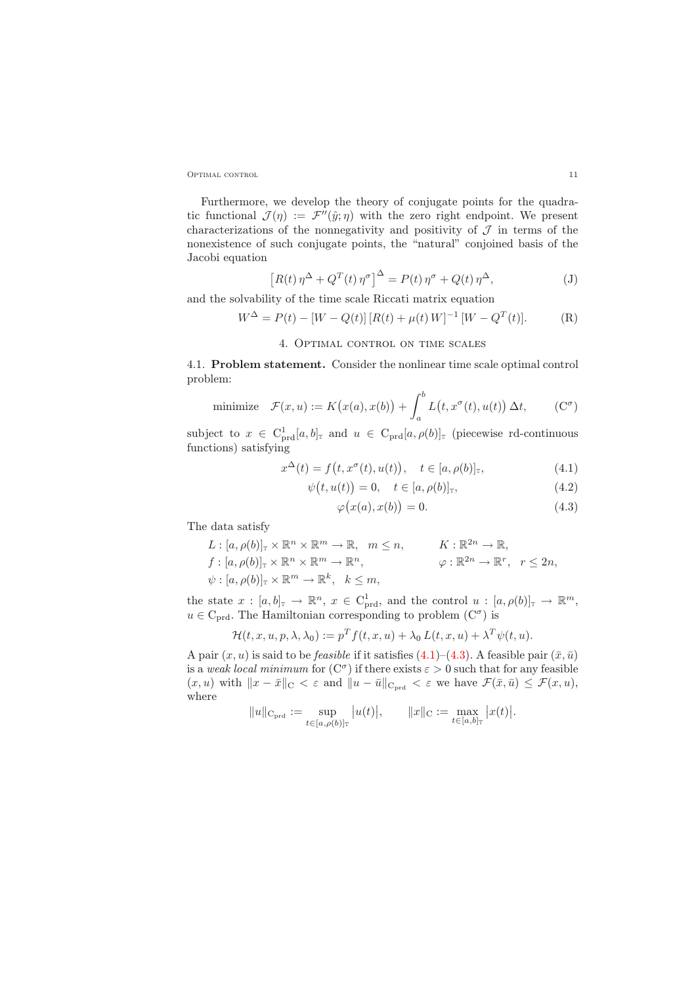Optimal control 11

Furthermore, we develop the theory of conjugate points for the quadratic functional  $\mathcal{J}(\eta) := \mathcal{F}''(\hat{y}; \eta)$  with the zero right endpoint. We present characterizations of the nonnegativity and positivity of  $J$  in terms of the nonexistence of such conjugate points, the "natural" conjoined basis of the Jacobi equation

$$
\left[R(t)\,\eta^{\Delta} + Q^{T}(t)\,\eta^{\sigma}\right]^{\Delta} = P(t)\,\eta^{\sigma} + Q(t)\,\eta^{\Delta},\tag{J}
$$

<span id="page-10-0"></span>and the solvability of the time scale Riccati matrix equation

$$
W^{\Delta} = P(t) - [W - Q(t)] [R(t) + \mu(t) W]^{-1} [W - Q^{T}(t)].
$$
 (R)

#### 4. Optimal control on time scales

<span id="page-10-1"></span>4.1. Problem statement. Consider the nonlinear time scale optimal control problem:

minimize 
$$
\mathcal{F}(x, u) := K(x(a), x(b)) + \int_a^b L(t, x^{\sigma}(t), u(t)) \Delta t,
$$
 (C <sup>$\sigma$</sup> )

subject to  $x \in C^1_{\text{prd}}[a, b]$ <sub>T</sub> and  $u \in C_{\text{prd}}[a, \rho(b)]$ <sub>T</sub> (piecewise rd-continuous functions) satisfying

$$
x^{\Delta}(t) = f(t, x^{\sigma}(t), u(t)), \quad t \in [a, \rho(b)]_{\mathbb{T}}, \tag{4.1}
$$

$$
\psi(t, u(t)) = 0, \quad t \in [a, \rho(b)]_{\mathbb{T}}, \tag{4.2}
$$

<span id="page-10-4"></span><span id="page-10-3"></span><span id="page-10-2"></span>
$$
\varphi(x(a), x(b)) = 0. \tag{4.3}
$$

The data satisfy

$$
L: [a, \rho(b)]_{\mathbb{T}} \times \mathbb{R}^n \times \mathbb{R}^m \to \mathbb{R}, \quad m \leq n, \qquad K: \mathbb{R}^{2n} \to \mathbb{R},
$$
  

$$
f: [a, \rho(b)]_{\mathbb{T}} \times \mathbb{R}^n \times \mathbb{R}^m \to \mathbb{R}^n, \qquad \varphi: \mathbb{R}^{2n} \to \mathbb{R}^r, \quad r \leq 2n,
$$
  

$$
\psi: [a, \rho(b)]_{\mathbb{T}} \times \mathbb{R}^m \to \mathbb{R}^k, \quad k \leq m,
$$

the state  $x : [a, b]_{\mathbb{T}} \to \mathbb{R}^n$ ,  $x \in C^1_{\text{prd}}$ , and the control  $u : [a, \rho(b)]_{\mathbb{T}} \to \mathbb{R}^m$ ,  $u \in C_{\text{prd}}$ . The Hamiltonian corresponding to problem  $(C^{\sigma})$  is

$$
\mathcal{H}(t, x, u, p, \lambda, \lambda_0) := p^T f(t, x, u) + \lambda_0 L(t, x, u) + \lambda^T \psi(t, u).
$$

A pair  $(x, u)$  is said to be *feasible* if it satisfies [\(4.1\)](#page-10-2)–[\(4.3\)](#page-10-3). A feasible pair  $(\bar{x}, \bar{u})$ is a weak local minimum for  $(C^{\sigma})$  if there exists  $\varepsilon > 0$  such that for any feasible  $(x, u)$  with  $||x - \bar{x}||_{C} < \varepsilon$  and  $||u - \bar{u}||_{C_{\text{prd}}} < \varepsilon$  we have  $\mathcal{F}(\bar{x}, \bar{u}) \leq \mathcal{F}(x, u)$ , where

$$
||u||_{\mathcal{C}_{\mathrm{prd}}} := \sup_{t \in [a,\rho(b)]_{\mathbb{T}}} |u(t)|, \qquad ||x||_{\mathcal{C}} := \max_{t \in [a,b]_{\mathbb{T}}} |x(t)|.
$$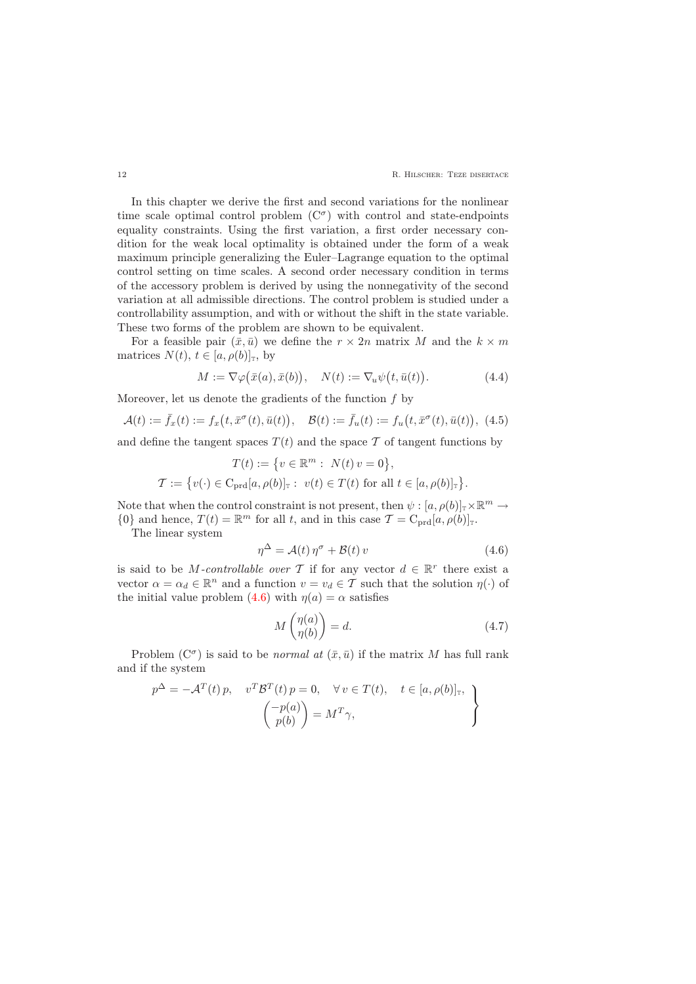In this chapter we derive the first and second variations for the nonlinear time scale optimal control problem  $(C^{\sigma})$  with control and state-endpoints equality constraints. Using the first variation, a first order necessary condition for the weak local optimality is obtained under the form of a weak maximum principle generalizing the Euler–Lagrange equation to the optimal control setting on time scales. A second order necessary condition in terms of the accessory problem is derived by using the nonnegativity of the second variation at all admissible directions. The control problem is studied under a controllability assumption, and with or without the shift in the state variable. These two forms of the problem are shown to be equivalent.

For a feasible pair  $(\bar{x}, \bar{u})$  we define the  $r \times 2n$  matrix M and the  $k \times m$ matrices  $N(t)$ ,  $t \in [a, \rho(b)]_{\tau}$ , by

$$
M := \nabla \varphi(\bar{x}(a), \bar{x}(b)), \quad N(t) := \nabla_u \psi(t, \bar{u}(t)). \tag{4.4}
$$

<span id="page-11-2"></span><span id="page-11-1"></span>Moreover, let us denote the gradients of the function  $f$  by

$$
\mathcal{A}(t) := \bar{f}_x(t) := f_x(t, \bar{x}^\sigma(t), \bar{u}(t)), \quad \mathcal{B}(t) := \bar{f}_u(t) := f_u(t, \bar{x}^\sigma(t), \bar{u}(t)), \tag{4.5}
$$

and define the tangent spaces  $T(t)$  and the space T of tangent functions by

$$
T(t) := \{ v \in \mathbb{R}^m : N(t) v = 0 \},
$$
  

$$
\mathcal{T} := \{ v(\cdot) \in \text{C}_{\text{prd}}[a, \rho(b)]_{\mathbb{T}} : v(t) \in T(t) \text{ for all } t \in [a, \rho(b)]_{\mathbb{T}} \}.
$$

Note that when the control constraint is not present, then  $\psi : [a, \rho(b)]_{\mathbb{T}} \times \mathbb{R}^m \to$  ${0}$  and hence,  $T(t) = \mathbb{R}^m$  for all t, and in this case  $\mathcal{T} = C_{\text{prd}}[a, \rho(b)]_{\text{T}}$ .

<span id="page-11-0"></span>The linear system

$$
\eta^{\Delta} = \mathcal{A}(t) \,\eta^{\sigma} + \mathcal{B}(t) \, v \tag{4.6}
$$

is said to be *M*-controllable over T if for any vector  $d \in \mathbb{R}^r$  there exist a vector  $\alpha = \alpha_d \in \mathbb{R}^n$  and a function  $v = v_d \in \mathcal{T}$  such that the solution  $\eta(\cdot)$  of the initial value problem [\(4.6\)](#page-11-0) with  $\eta(a) = \alpha$  satisfies

$$
M\begin{pmatrix} \eta(a) \\ \eta(b) \end{pmatrix} = d. \tag{4.7}
$$

Problem  $(C^{\sigma})$  is said to be *normal at*  $(\bar{x}, \bar{u})$  if the matrix M has full rank and if the system

<span id="page-11-3"></span>
$$
p^{\Delta} = -\mathcal{A}^{T}(t) p, \quad v^{T} \mathcal{B}^{T}(t) p = 0, \quad \forall v \in T(t), \quad t \in [a, \rho(b)]_{\mathbb{T}},
$$

$$
\begin{pmatrix} -p(a) \\ p(b) \end{pmatrix} = M^{T} \gamma,
$$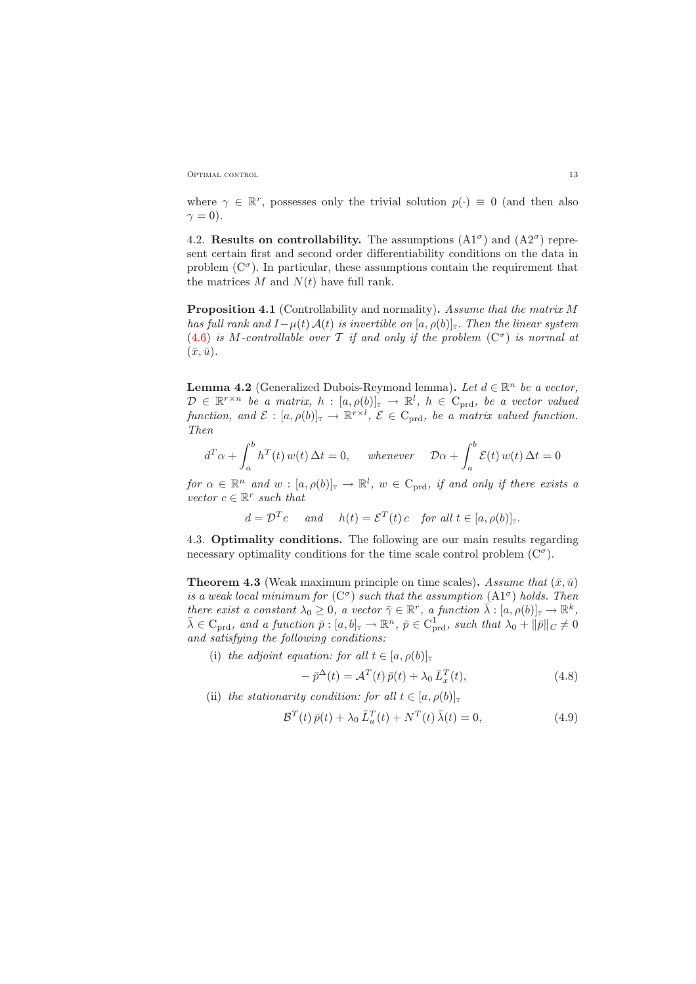OPTIMAL CONTROL 13

where  $\gamma \in \mathbb{R}^r$ , possesses only the trivial solution  $p(\cdot) \equiv 0$  (and then also  $\gamma = 0$ ).

<span id="page-12-0"></span>4.2. Results on controllability. The assumptions  $(A1^{\sigma})$  and  $(A2^{\sigma})$  represent certain first and second order differentiability conditions on the data in problem  $(C^{\sigma})$ . In particular, these assumptions contain the requirement that the matrices  $M$  and  $N(t)$  have full rank.

<span id="page-12-3"></span>Proposition 4.1 (Controllability and normality). Assume that the matrix M has full rank and  $I-\mu(t) \mathcal{A}(t)$  is invertible on [a,  $\rho(b)|_{\mathbb{T}}$ . Then the linear system  $(4.6)$  is M-controllable over T if and only if the problem  $(C^{\sigma})$  is normal at  $(\bar{x}, \bar{u}).$ 

**Lemma 4.2** (Generalized Dubois-Reymond lemma). Let  $d \in \mathbb{R}^n$  be a vector,  $\mathcal{D} \in \mathbb{R}^{r \times n}$  be a matrix,  $h : [a, \rho(b)]_{\mathbb{T}} \to \mathbb{R}^{l}$ ,  $h \in C_{\text{prd}}$ , be a vector valued function, and  $\mathcal{E} : [a, \rho(b)]_{\mathbb{T}} \to \mathbb{R}^{r \times l}$ ,  $\mathcal{E} \in C_{\text{prd}}$ , be a matrix valued function. Then

$$
d^T \alpha + \int_a^b h^T(t) w(t) \Delta t = 0, \quad \text{whenever} \quad \mathcal{D}\alpha + \int_a^b \mathcal{E}(t) w(t) \Delta t = 0
$$

for  $\alpha \in \mathbb{R}^n$  and  $w : [a, \rho(b)]_{\mathbb{T}} \to \mathbb{R}^l$ ,  $w \in C_{\text{prd}}$ , if and only if there exists a vector  $c \in \mathbb{R}^r$  such that

$$
d = \mathcal{D}^T c
$$
 and  $h(t) = \mathcal{E}^T(t) c$  for all  $t \in [a, \rho(b)]_{\mathbb{T}}$ .

<span id="page-12-1"></span>4.3. Optimality conditions. The following are our main results regarding necessary optimality conditions for the time scale control problem  $(C^{\sigma})$ .

<span id="page-12-2"></span>**Theorem 4.3** (Weak maximum principle on time scales). Assume that  $(\bar{x}, \bar{u})$ is a weak local minimum for  $(C^{\sigma})$  such that the assumption  $(A1^{\sigma})$  holds. Then there exist a constant  $\lambda_0 \geq 0$ , a vector  $\bar{\gamma} \in \mathbb{R}^r$ , a function  $\bar{\lambda} : [a, \rho(b)]_{\mathbb{T}} \to \mathbb{R}^k$ ,  $\bar{\lambda} \in C_{\text{prd}}$ , and a function  $\bar{p} : [a, b]_{\mathbb{T}} \to \mathbb{R}^n$ ,  $\bar{p} \in C_{\text{prd}}^1$ , such that  $\lambda_0 + ||\bar{p}||_C \neq 0$ and satisfying the following conditions:

<span id="page-12-4"></span>(i) the adjoint equation: for all  $t \in [a, \rho(b)]_{\tau}$ 

$$
- \bar{p}^{\Delta}(t) = \mathcal{A}^{T}(t) \bar{p}(t) + \lambda_0 \bar{L}_x^{T}(t), \qquad (4.8)
$$

<span id="page-12-5"></span>(ii) the stationarity condition: for all  $t \in [a, \rho(b)]_{\mathbb{T}}$ 

$$
\mathcal{B}^{T}(t)\,\bar{p}(t) + \lambda_0\,\bar{L}_u^{T}(t) + N^{T}(t)\,\bar{\lambda}(t) = 0,\tag{4.9}
$$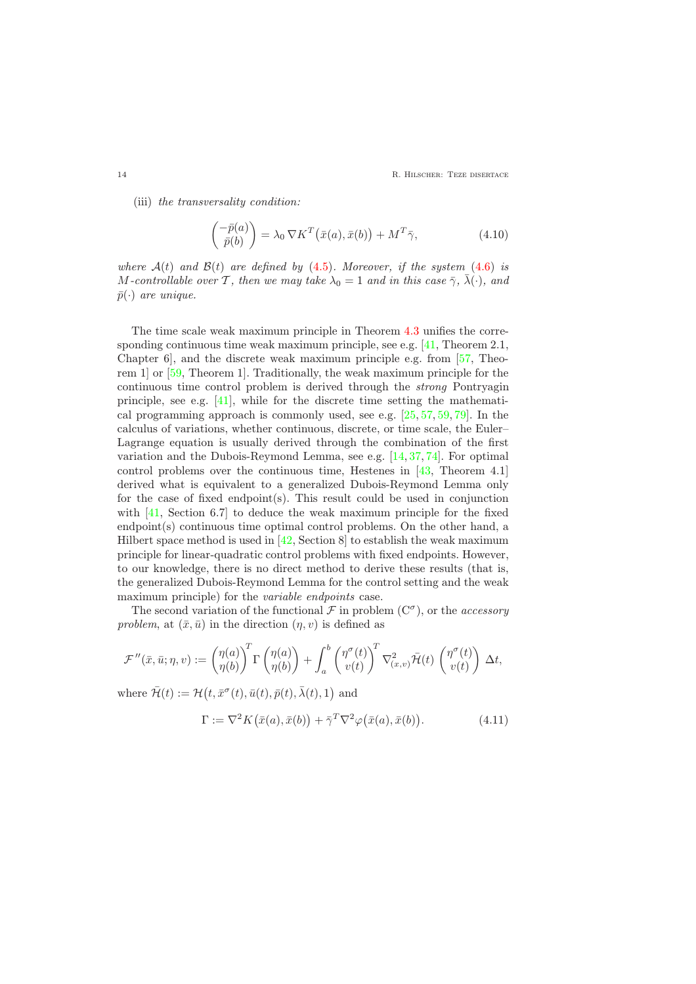14 **R. HILSCHER: TEZE DISERTACE** 

<span id="page-13-0"></span>(iii) the transversality condition:

$$
\begin{pmatrix} -\bar{p}(a) \\ \bar{p}(b) \end{pmatrix} = \lambda_0 \nabla K^T (\bar{x}(a), \bar{x}(b)) + M^T \bar{\gamma}, \qquad (4.10)
$$

where  $A(t)$  and  $B(t)$  are defined by [\(4.5\)](#page-11-1). Moreover, if the system [\(4.6\)](#page-11-0) is M-controllable over T, then we may take  $\lambda_0 = 1$  and in this case  $\bar{\gamma}$ ,  $\bar{\lambda}(\cdot)$ , and  $\bar{p}(\cdot)$  are unique.

The time scale weak maximum principle in Theorem [4.3](#page-12-2) unifies the corresponding continuous time weak maximum principle, see e.g. [\[41,](#page-29-3) Theorem 2.1, Chapter 6], and the discrete weak maximum principle e.g. from [\[57,](#page-30-1) Theorem 1] or [\[59,](#page-30-2) Theorem 1]. Traditionally, the weak maximum principle for the continuous time control problem is derived through the strong Pontryagin principle, see e.g. [\[41\]](#page-29-3), while for the discrete time setting the mathematical programming approach is commonly used, see e.g. [\[25,](#page-28-5) [57,](#page-30-1) [59,](#page-30-2) [79\]](#page-31-4). In the calculus of variations, whether continuous, discrete, or time scale, the Euler– Lagrange equation is usually derived through the combination of the first variation and the Dubois-Reymond Lemma, see e.g. [\[14,](#page-27-4) [37,](#page-29-4) [74\]](#page-30-3). For optimal control problems over the continuous time, Hestenes in [\[43,](#page-29-5) Theorem 4.1] derived what is equivalent to a generalized Dubois-Reymond Lemma only for the case of fixed endpoint(s). This result could be used in conjunction with [\[41,](#page-29-3) Section 6.7] to deduce the weak maximum principle for the fixed endpoint(s) continuous time optimal control problems. On the other hand, a Hilbert space method is used in  $[42, \text{Section 8}]$  to establish the weak maximum principle for linear-quadratic control problems with fixed endpoints. However, to our knowledge, there is no direct method to derive these results (that is, the generalized Dubois-Reymond Lemma for the control setting and the weak maximum principle) for the *variable endpoints* case.

The second variation of the functional  $\mathcal F$  in problem  $(C^{\sigma})$ , or the *accessory* problem, at  $(\bar{x}, \bar{u})$  in the direction  $(\eta, v)$  is defined as

$$
\mathcal{F}''(\bar{x}, \bar{u}; \eta, v) := \begin{pmatrix} \eta(a) \\ \eta(b) \end{pmatrix}^T \Gamma \begin{pmatrix} \eta(a) \\ \eta(b) \end{pmatrix} + \int_a^b \begin{pmatrix} \eta^\sigma(t) \\ v(t) \end{pmatrix}^T \nabla_{(x,v)}^2 \bar{\mathcal{H}}(t) \begin{pmatrix} \eta^\sigma(t) \\ v(t) \end{pmatrix} \Delta t,
$$

<span id="page-13-1"></span>where  $\bar{\mathcal{H}}(t) := \mathcal{H}(t, \bar{x}^{\sigma}(t), \bar{u}(t), \bar{p}(t), \bar{\lambda}(t), 1)$  and

$$
\Gamma := \nabla^2 K(\bar{x}(a), \bar{x}(b)) + \bar{\gamma}^T \nabla^2 \varphi(\bar{x}(a), \bar{x}(b)). \tag{4.11}
$$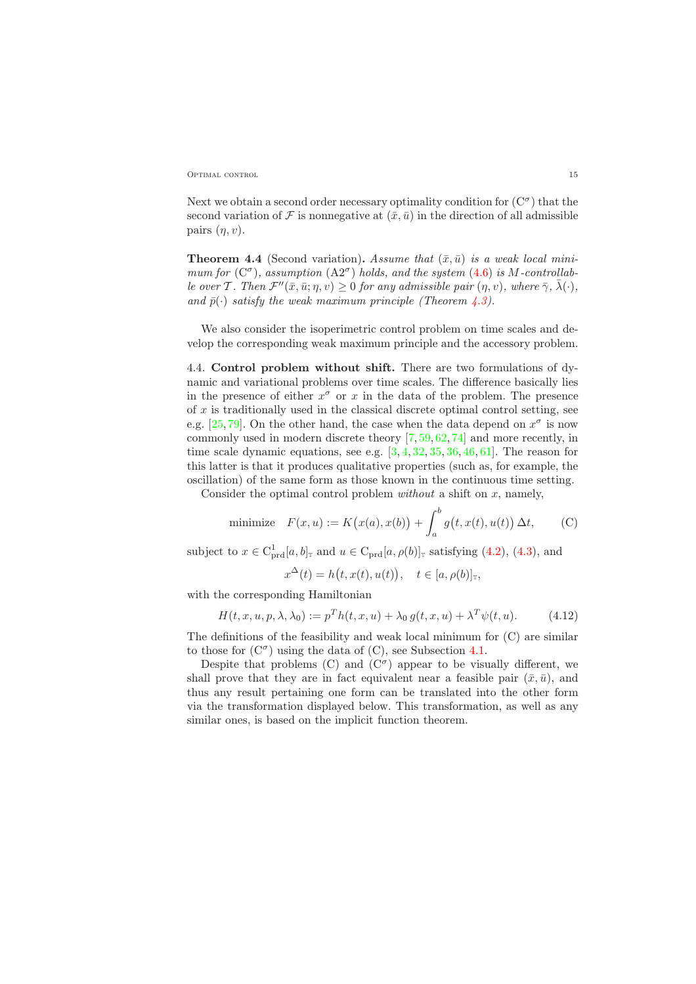Optimal control 15

Next we obtain a second order necessary optimality condition for  $(C^{\sigma})$  that the second variation of F is nonnegative at  $(\bar{x}, \bar{u})$  in the direction of all admissible pairs  $(\eta, v)$ .

<span id="page-14-2"></span>**Theorem 4.4** (Second variation). Assume that  $(\bar{x}, \bar{u})$  is a weak local minimum for  $(C^{\sigma})$ , assumption  $(A2^{\sigma})$  holds, and the system  $(4.6)$  is M-controllable over T. Then  $\mathcal{F}''(\bar{x}, \bar{u}; \eta, v) \geq 0$  for any admissible pair  $(\eta, v)$ , where  $\bar{\gamma}$ ,  $\bar{\lambda}(\cdot)$ , and  $\bar{p}(\cdot)$  satisfy the weak maximum principle (Theorem [4.3\)](#page-12-2).

We also consider the isoperimetric control problem on time scales and develop the corresponding weak maximum principle and the accessory problem.

<span id="page-14-0"></span>4.4. Control problem without shift. There are two formulations of dynamic and variational problems over time scales. The difference basically lies in the presence of either  $x^{\sigma}$  or x in the data of the problem. The presence of x is traditionally used in the classical discrete optimal control setting, see e.g. [\[25,](#page-28-5)[79\]](#page-31-4). On the other hand, the case when the data depend on  $x^{\sigma}$  is now commonly used in modern discrete theory [\[7,](#page-27-5) [59,](#page-30-2) [62,](#page-30-4) [74\]](#page-30-3) and more recently, in time scale dynamic equations, see e.g.  $[3, 4, 32, 35, 36, 46, 61]$  $[3, 4, 32, 35, 36, 46, 61]$  $[3, 4, 32, 35, 36, 46, 61]$  $[3, 4, 32, 35, 36, 46, 61]$  $[3, 4, 32, 35, 36, 46, 61]$  $[3, 4, 32, 35, 36, 46, 61]$  $[3, 4, 32, 35, 36, 46, 61]$  $[3, 4, 32, 35, 36, 46, 61]$  $[3, 4, 32, 35, 36, 46, 61]$  $[3, 4, 32, 35, 36, 46, 61]$  $[3, 4, 32, 35, 36, 46, 61]$  $[3, 4, 32, 35, 36, 46, 61]$ . The reason for this latter is that it produces qualitative properties (such as, for example, the oscillation) of the same form as those known in the continuous time setting.

Consider the optimal control problem *without* a shift on  $x$ , namely,

minimize 
$$
F(x, u) := K(x(a), x(b)) + \int_a^b g(t, x(t), u(t)) \Delta t,
$$
 (C)

subject to  $x \in C_{\text{prd}}^1[a, b]_{\text{T}}$  and  $u \in C_{\text{prd}}[a, \rho(b)]_{\text{T}}$  satisfying [\(4.2\)](#page-10-4), [\(4.3\)](#page-10-3), and

$$
x^{\Delta}(t) = h(t, x(t), u(t)), \quad t \in [a, \rho(b)]_{\mathbb{T}},
$$

with the corresponding Hamiltonian

$$
H(t, x, u, p, \lambda, \lambda_0) := p^T h(t, x, u) + \lambda_0 g(t, x, u) + \lambda^T \psi(t, u).
$$
 (4.12)

<span id="page-14-1"></span>The definitions of the feasibility and weak local minimum for (C) are similar to those for  $(C^{\sigma})$  using the data of  $(C)$ , see Subsection [4.1.](#page-10-1)

Despite that problems (C) and  $(C^{\sigma})$  appear to be visually different, we shall prove that they are in fact equivalent near a feasible pair  $(\bar{x}, \bar{u})$ , and thus any result pertaining one form can be translated into the other form via the transformation displayed below. This transformation, as well as any similar ones, is based on the implicit function theorem.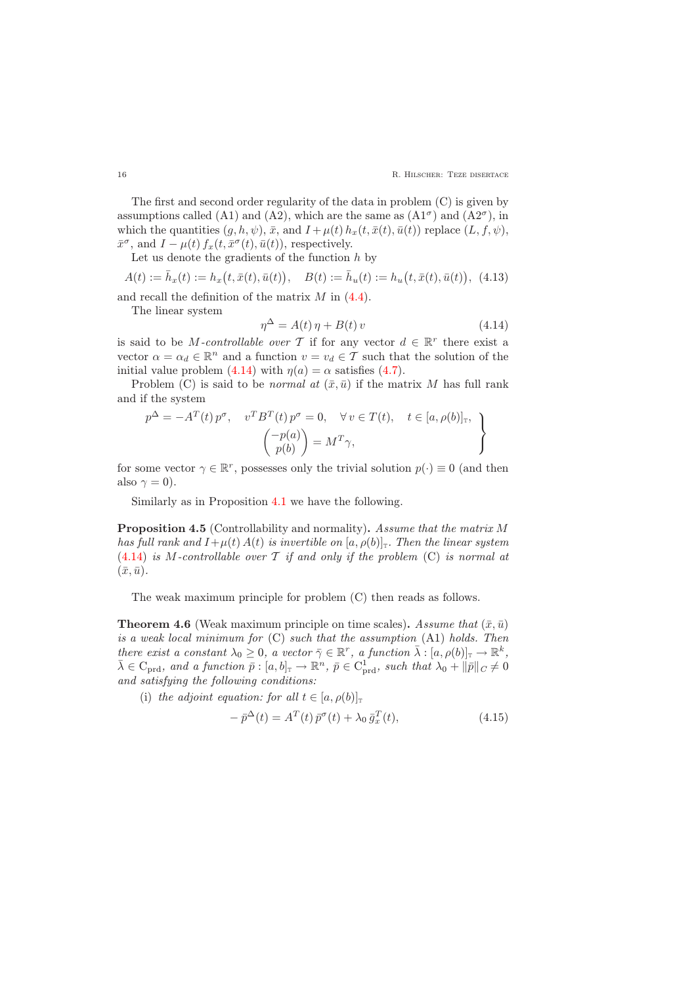The first and second order regularity of the data in problem (C) is given by assumptions called (A1) and (A2), which are the same as  $(A1^{\sigma})$  and  $(A2^{\sigma})$ , in which the quantities  $(g, h, \psi)$ ,  $\bar{x}$ , and  $I + \mu(t) h_x(t, \bar{x}(t), \bar{u}(t))$  replace  $(L, f, \psi)$ ,  $\bar{x}^{\sigma}$ , and  $I - \mu(t) f_x(t, \bar{x}^{\sigma}(t), \bar{u}(t))$ , respectively.

Let us denote the gradients of the function  $h$  by

$$
A(t) := \bar{h}_x(t) := h_x(t, \bar{x}(t), \bar{u}(t)), \quad B(t) := \bar{h}_u(t) := h_u(t, \bar{x}(t), \bar{u}(t)), \tag{4.13}
$$

<span id="page-15-1"></span>and recall the definition of the matrix  $M$  in  $(4.4)$ .

<span id="page-15-0"></span>The linear system

$$
\eta^{\Delta} = A(t)\,\eta + B(t)\,v\tag{4.14}
$$

is said to be *M*-controllable over T if for any vector  $d \in \mathbb{R}^r$  there exist a vector  $\alpha = \alpha_d \in \mathbb{R}^n$  and a function  $v = v_d \in \mathcal{T}$  such that the solution of the initial value problem [\(4.14\)](#page-15-0) with  $\eta(a) = \alpha$  satisfies [\(4.7\)](#page-11-3).

Problem (C) is said to be *normal at*  $(\bar{x}, \bar{u})$  if the matrix M has full rank and if the system

$$
p^{\Delta} = -A^{T}(t) p^{\sigma}, \quad v^{T} B^{T}(t) p^{\sigma} = 0, \quad \forall v \in T(t), \quad t \in [a, \rho(b)]_{\mathbb{T}},
$$

$$
\begin{pmatrix} -p(a) \\ p(b) \end{pmatrix} = M^{T} \gamma,
$$

for some vector  $\gamma \in \mathbb{R}^r$ , possesses only the trivial solution  $p(\cdot) \equiv 0$  (and then also  $\gamma = 0$ ).

Similarly as in Proposition [4.1](#page-12-3) we have the following.

Proposition 4.5 (Controllability and normality). Assume that the matrix M has full rank and  $I+\mu(t) A(t)$  is invertible on  $[a, \rho(b)]$ . Then the linear system  $(4.14)$  is M-controllable over T if and only if the problem (C) is normal at  $(\bar{x}, \bar{u}).$ 

The weak maximum principle for problem (C) then reads as follows.

<span id="page-15-3"></span>**Theorem 4.6** (Weak maximum principle on time scales). Assume that  $(\bar{x}, \bar{u})$ is a weak local minimum for (C) such that the assumption (A1) holds. Then there exist a constant  $\lambda_0 \geq 0$ , a vector  $\overline{\gamma} \in \mathbb{R}^r$ , a function  $\overline{\lambda} : [a, \rho(b)]_{\mathbb{T}} \to \mathbb{R}^k$ ,  $\bar{\lambda} \in C_{\text{prd}}$ , and a function  $\bar{p} : [a, b]_{\mathbb{T}} \to \mathbb{R}^n$ ,  $\bar{p} \in C_{\text{prd}}^1$ , such that  $\lambda_0 + ||\bar{p}||_C \neq 0$ and satisfying the following conditions:

<span id="page-15-2"></span>(i) the adjoint equation: for all  $t \in [a, \rho(b)]_{\tau}$ 

$$
-\bar{p}^{\Delta}(t) = A^T(t)\bar{p}^{\sigma}(t) + \lambda_0 \bar{g}_x^T(t),\tag{4.15}
$$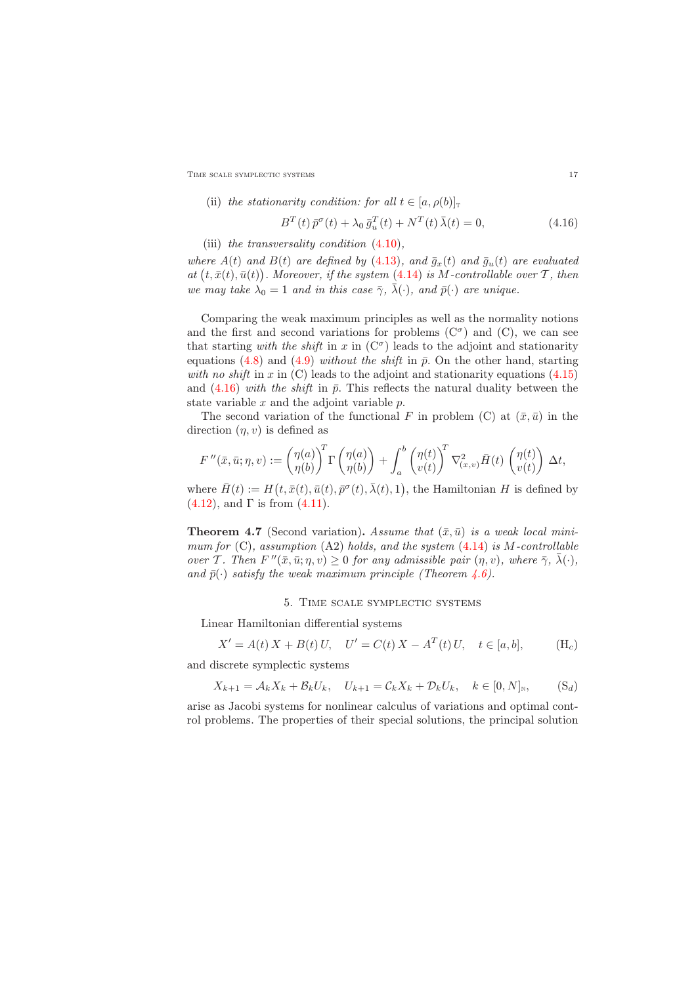TIME SCALE SYMPLECTIC SYSTEMS 17

<span id="page-16-1"></span>(ii) the stationarity condition: for all 
$$
t \in [a, \rho(b)]_{\mathbb{T}}
$$
  

$$
B^{T}(t)\bar{p}^{\sigma}(t) + \lambda_0 \bar{g}_u^{T}(t) + N^{T}(t)\bar{\lambda}(t) = 0,
$$
 (4.16)

(iii) the transversality condition [\(4.10\)](#page-13-0),

where  $A(t)$  and  $B(t)$  are defined by [\(4.13\)](#page-15-1), and  $\bar{g}_x(t)$  and  $\bar{g}_u(t)$  are evaluated at  $(t, \bar{x}(t), \bar{u}(t))$ . Moreover, if the system [\(4.14\)](#page-15-0) is M-controllable over T, then we may take  $\lambda_0 = 1$  and in this case  $\bar{\gamma}$ ,  $\bar{\lambda}(\cdot)$ , and  $\bar{p}(\cdot)$  are unique.

Comparing the weak maximum principles as well as the normality notions and the first and second variations for problems  $(C^{\sigma})$  and  $(C)$ , we can see that starting with the shift in x in  $(C^{\sigma})$  leads to the adjoint and stationarity equations [\(4.8\)](#page-12-4) and [\(4.9\)](#page-12-5) without the shift in  $\bar{p}$ . On the other hand, starting with no shift in x in  $(C)$  leads to the adjoint and stationarity equations  $(4.15)$ and  $(4.16)$  with the shift in  $\bar{p}$ . This reflects the natural duality between the state variable  $x$  and the adjoint variable  $p$ .

The second variation of the functional F in problem (C) at  $(\bar{x}, \bar{u})$  in the direction  $(\eta, v)$  is defined as

$$
F''(\bar{x}, \bar{u}; \eta, v) := \begin{pmatrix} \eta(a) \\ \eta(b) \end{pmatrix}^T \Gamma \begin{pmatrix} \eta(a) \\ \eta(b) \end{pmatrix} + \int_a^b \begin{pmatrix} \eta(t) \\ v(t) \end{pmatrix}^T \nabla^2_{(x,v)} \bar{H}(t) \begin{pmatrix} \eta(t) \\ v(t) \end{pmatrix} \Delta t,
$$

where  $\bar{H}(t) := H(t, \bar{x}(t), \bar{u}(t), \bar{p}^{\sigma}(t), \bar{\lambda}(t), 1)$ , the Hamiltonian H is defined by  $(4.12)$ , and  $\Gamma$  is from  $(4.11)$ .

<span id="page-16-2"></span>**Theorem 4.7** (Second variation). Assume that  $(\bar{x}, \bar{u})$  is a weak local minimum for  $(C)$ , assumption  $(A2)$  holds, and the system  $(4.14)$  is M-controllable over T. Then  $F''(\bar{x}, \bar{u}; \eta, v) \ge 0$  for any admissible pair  $(\eta, v)$ , where  $\bar{\gamma}$ ,  $\bar{\lambda}(\cdot)$ , and  $\bar{p}(\cdot)$  satisfy the weak maximum principle (Theorem [4.6\)](#page-15-3).

#### 5. Time scale symplectic systems

<span id="page-16-0"></span>Linear Hamiltonian differential systems

$$
X' = A(t) X + B(t) U, \quad U' = C(t) X - A^{T}(t) U, \quad t \in [a, b], \quad (H_c)
$$

and discrete symplectic systems

$$
X_{k+1} = \mathcal{A}_k X_k + \mathcal{B}_k U_k, \quad U_{k+1} = \mathcal{C}_k X_k + \mathcal{D}_k U_k, \quad k \in [0, N]_{\mathbb{N}}, \tag{S_d}
$$

arise as Jacobi systems for nonlinear calculus of variations and optimal control problems. The properties of their special solutions, the principal solution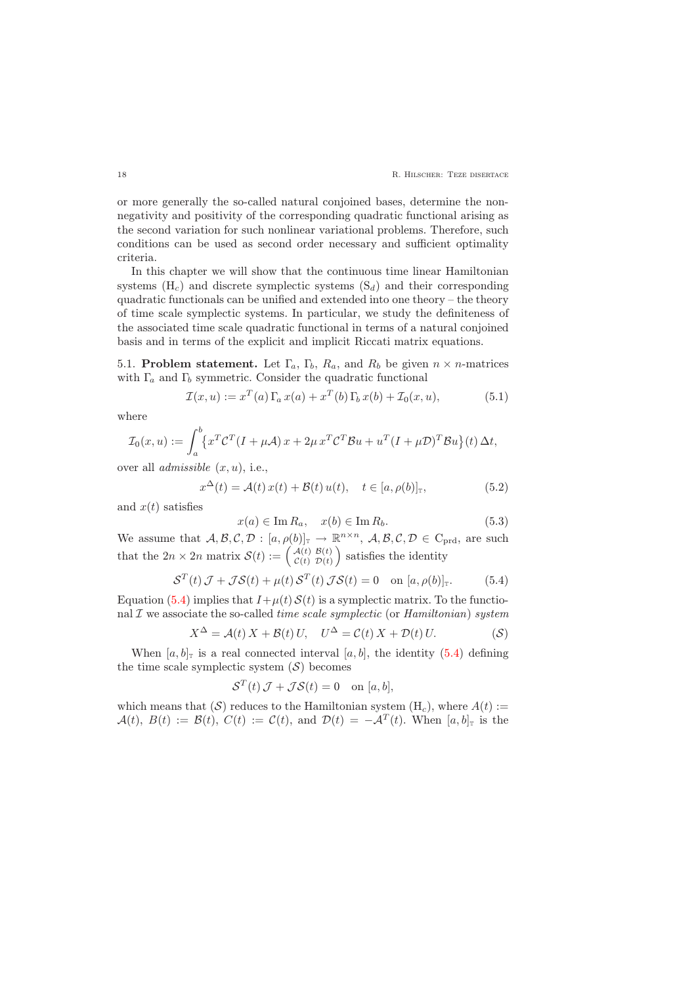or more generally the so-called natural conjoined bases, determine the nonnegativity and positivity of the corresponding quadratic functional arising as the second variation for such nonlinear variational problems. Therefore, such conditions can be used as second order necessary and sufficient optimality criteria.

In this chapter we will show that the continuous time linear Hamiltonian systems  $(H_c)$  and discrete symplectic systems  $(S_d)$  and their corresponding quadratic functionals can be unified and extended into one theory – the theory of time scale symplectic systems. In particular, we study the definiteness of the associated time scale quadratic functional in terms of a natural conjoined basis and in terms of the explicit and implicit Riccati matrix equations.

<span id="page-17-0"></span>5.1. Problem statement. Let  $\Gamma_a$ ,  $\Gamma_b$ ,  $R_a$ , and  $R_b$  be given  $n \times n$ -matrices with  $\Gamma_a$  and  $\Gamma_b$  symmetric. Consider the quadratic functional

$$
\mathcal{I}(x, u) := x^T(a) \Gamma_a x(a) + x^T(b) \Gamma_b x(b) + \mathcal{I}_0(x, u), \tag{5.1}
$$

<span id="page-17-4"></span>where

$$
\mathcal{I}_0(x, u) := \int_a^b \{x^T C^T (I + \mu \mathcal{A}) x + 2\mu x^T C^T \mathcal{B} u + u^T (I + \mu \mathcal{D})^T \mathcal{B} u\}(t) \Delta t,
$$

<span id="page-17-2"></span>over all *admissible*  $(x, u)$ , i.e.,

$$
x^{\Delta}(t) = \mathcal{A}(t) x(t) + \mathcal{B}(t) u(t), \quad t \in [a, \rho(b)]_{\mathbb{T}}, \tag{5.2}
$$

<span id="page-17-3"></span>and  $x(t)$  satisfies

$$
x(a) \in \operatorname{Im} R_a, \quad x(b) \in \operatorname{Im} R_b.
$$
 (5.3)

We assume that  $A, B, C, D : [a, \rho(b)]_{\mathbb{T}} \to \mathbb{R}^{n \times n}$ ,  $A, B, C, D \in C_{\text{prd}}$ , are such that the  $2n \times 2n$  matrix  $\mathcal{S}(t) := \begin{pmatrix} \mathcal{A}(t) & \mathcal{B}(t) \\ \mathcal{C}(t) & \mathcal{D}(t) \end{pmatrix}$  $\mathcal{L}(t)$   $\mathcal{B}(t)$   $\mathcal{D}(t)$  satisfies the identity

$$
S^{T}(t) \mathcal{J} + \mathcal{JS}(t) + \mu(t) S^{T}(t) \mathcal{JS}(t) = 0 \quad \text{on } [a, \rho(b)]_{\mathbb{T}}.
$$
 (5.4)

<span id="page-17-1"></span>Equation [\(5.4\)](#page-17-1) implies that  $I+\mu(t) S(t)$  is a symplectic matrix. To the functional  $\mathcal I$  we associate the so-called *time scale symplectic* (or *Hamiltonian*) system

$$
X^{\Delta} = \mathcal{A}(t) X + \mathcal{B}(t) U, \quad U^{\Delta} = \mathcal{C}(t) X + \mathcal{D}(t) U.
$$
 (S)

When  $[a, b]_T$  is a real connected interval  $[a, b]$ , the identity [\(5.4\)](#page-17-1) defining the time scale symplectic system  $(S)$  becomes

$$
\mathcal{S}^T(t)\,\mathcal{J} + \mathcal{J}\mathcal{S}(t) = 0 \quad \text{on } [a, b],
$$

which means that  $(S)$  reduces to the Hamiltonian system  $(H_c)$ , where  $A(t) :=$  $\mathcal{A}(t), B(t) := \mathcal{B}(t), C(t) := C(t), \text{ and } \mathcal{D}(t) = -\mathcal{A}^{T}(t).$  When  $[a, b]_{\mathbb{T}}$  is the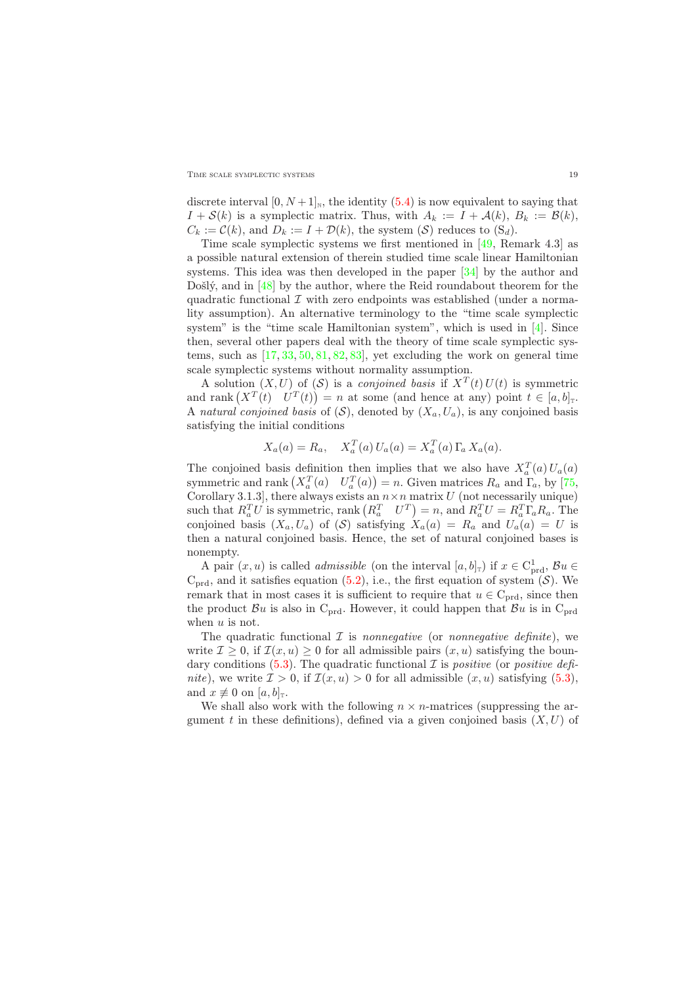discrete interval  $[0, N+1]_N$ , the identity  $(5.4)$  is now equivalent to saying that  $I + \mathcal{S}(k)$  is a symplectic matrix. Thus, with  $A_k := I + \mathcal{A}(k)$ ,  $B_k := \mathcal{B}(k)$ ,  $C_k := \mathcal{C}(k)$ , and  $D_k := I + \mathcal{D}(k)$ , the system  $(\mathcal{S})$  reduces to  $(S_d)$ .

Time scale symplectic systems we first mentioned in [\[49,](#page-29-8) Remark 4.3] as a possible natural extension of therein studied time scale linear Hamiltonian systems. This idea was then developed in the paper [\[34\]](#page-28-9) by the author and Došlý, and in [\[48\]](#page-29-9) by the author, where the Reid roundabout theorem for the quadratic functional  $\mathcal I$  with zero endpoints was established (under a normality assumption). An alternative terminology to the "time scale symplectic system" is the "time scale Hamiltonian system", which is used in [\[4\]](#page-27-7). Since then, several other papers deal with the theory of time scale symplectic systems, such as  $[17, 33, 50, 81, 82, 83]$  $[17, 33, 50, 81, 82, 83]$  $[17, 33, 50, 81, 82, 83]$  $[17, 33, 50, 81, 82, 83]$  $[17, 33, 50, 81, 82, 83]$  $[17, 33, 50, 81, 82, 83]$  $[17, 33, 50, 81, 82, 83]$  $[17, 33, 50, 81, 82, 83]$  $[17, 33, 50, 81, 82, 83]$  $[17, 33, 50, 81, 82, 83]$ , yet excluding the work on general time scale symplectic systems without normality assumption.

A solution  $(X, U)$  of  $(S)$  is a *conjoined basis* if  $X<sup>T</sup>(t)U(t)$  is symmetric and rank  $(X^T(t) \mid U^T(t)) = n$  at some (and hence at any) point  $t \in [a, b]$ <sub>T</sub>. A natural conjoined basis of  $(S)$ , denoted by  $(X_a, U_a)$ , is any conjoined basis satisfying the initial conditions

$$
X_a(a) = R_a, \quad X_a^T(a) U_a(a) = X_a^T(a) \Gamma_a X_a(a).
$$

The conjoined basis definition then implies that we also have  $X_a^T(a)U_a(a)$ symmetric and rank  $(X_a^T(a) \quad U_a^T(a)) = n$ . Given matrices  $R_a$  and  $\Gamma_a$ , by [\[75,](#page-30-6) Corollary 3.1.3], there always exists an  $n \times n$  matrix U (not necessarily unique) such that  $R_a^T U$  is symmetric, rank  $\left(R_a^T \quad U^T\right) = n$ , and  $R_a^T U = R_a^T \Gamma_a R_a$ . The conjoined basis  $(X_a, U_a)$  of  $(S)$  satisfying  $X_a(a) = R_a$  and  $U_a(a) = U$  is then a natural conjoined basis. Hence, the set of natural conjoined bases is nonempty.

A pair  $(x, u)$  is called *admissible* (on the interval  $[a, b]$ <sub>T</sub>) if  $x \in C<sup>1</sup><sub>prd</sub>$ ,  $\mathcal{B}u \in$  $C_{\text{prd}}$ , and it satisfies equation [\(5.2\)](#page-17-2), i.e., the first equation of system  $(S)$ . We remark that in most cases it is sufficient to require that  $u \in C_{\text{prd}}$ , since then the product  $\mathcal{B}u$  is also in C<sub>prd</sub>. However, it could happen that  $\mathcal{B}u$  is in C<sub>prd</sub> when  $u$  is not.

The quadratic functional  $\mathcal I$  is *nonnegative* (or *nonnegative definite*), we write  $\mathcal{I} \geq 0$ , if  $\mathcal{I}(x, u) \geq 0$  for all admissible pairs  $(x, u)$  satisfying the boun-dary conditions [\(5.3\)](#page-17-3). The quadratic functional  $\mathcal I$  is positive (or positive definite), we write  $\mathcal{I} > 0$ , if  $\mathcal{I}(x, u) > 0$  for all admissible  $(x, u)$  satisfying  $(5.3)$ , and  $x \not\equiv 0$  on  $[a, b]_{\tau}$ .

We shall also work with the following  $n \times n$ -matrices (suppressing the argument t in these definitions), defined via a given conjoined basis  $(X, U)$  of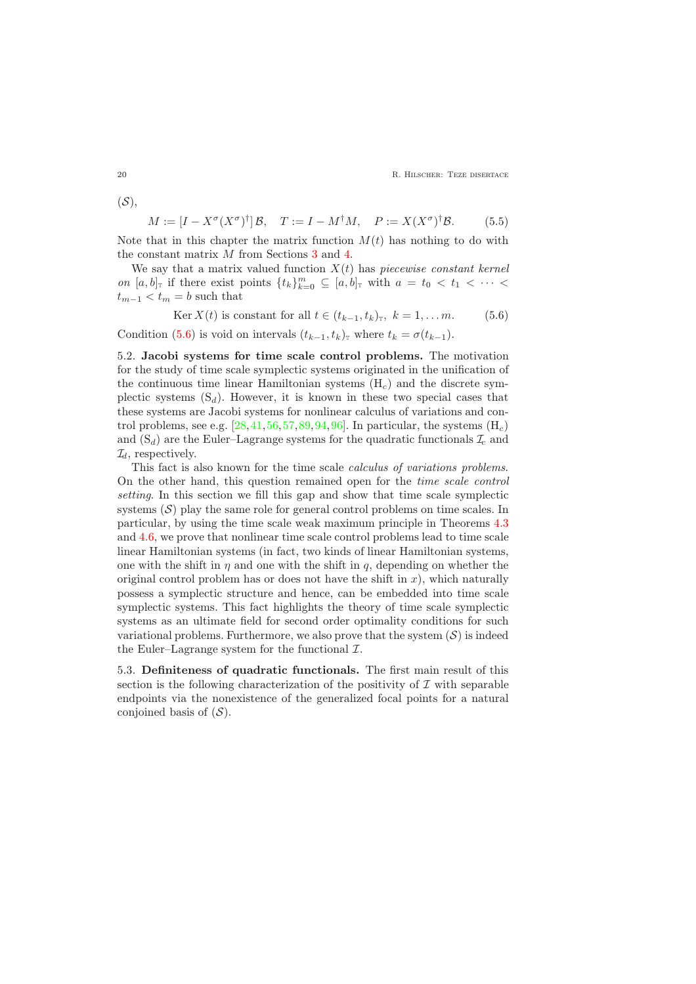20 **R. HILSCHER: TEZE DISERTACE** 

$$
M := [I - X^{\sigma}(X^{\sigma})^{\dagger}] \mathcal{B}, \quad T := I - M^{\dagger}M, \quad P := X(X^{\sigma})^{\dagger}\mathcal{B}.
$$
 (5.5)

Note that in this chapter the matrix function  $M(t)$  has nothing to do with the constant matrix M from Sections [3](#page-6-1) and [4.](#page-10-0)

We say that a matrix valued function  $X(t)$  has *piecewise constant kernel* on  $[a, b]$ <sub>T</sub> if there exist points  $\{t_k\}_{k=0}^m \subseteq [a, b]$ <sub>T</sub> with  $a = t_0 < t_1 < \cdots <$  $t_{m-1} < t_m = b$  such that

$$
\text{Ker } X(t) \text{ is constant for all } t \in (t_{k-1}, t_k)_{\text{r}}, \ k = 1, \dots m.
$$
 (5.6)

<span id="page-19-2"></span>Condition [\(5.6\)](#page-19-2) is void on intervals  $(t_{k-1}, t_k)$ <sub>T</sub> where  $t_k = \sigma(t_{k-1})$ .

<span id="page-19-0"></span>5.2. Jacobi systems for time scale control problems. The motivation for the study of time scale symplectic systems originated in the unification of the continuous time linear Hamiltonian systems  $(H<sub>c</sub>)$  and the discrete symplectic systems  $(S_d)$ . However, it is known in these two special cases that these systems are Jacobi systems for nonlinear calculus of variations and control problems, see e.g.  $[28, 41, 56, 57, 89, 94, 96]$  $[28, 41, 56, 57, 89, 94, 96]$  $[28, 41, 56, 57, 89, 94, 96]$  $[28, 41, 56, 57, 89, 94, 96]$  $[28, 41, 56, 57, 89, 94, 96]$  $[28, 41, 56, 57, 89, 94, 96]$  $[28, 41, 56, 57, 89, 94, 96]$  $[28, 41, 56, 57, 89, 94, 96]$  $[28, 41, 56, 57, 89, 94, 96]$  $[28, 41, 56, 57, 89, 94, 96]$  $[28, 41, 56, 57, 89, 94, 96]$  $[28, 41, 56, 57, 89, 94, 96]$ . In particular, the systems  $(H<sub>c</sub>)$ and  $(S_d)$  are the Euler–Lagrange systems for the quadratic functionals  $\mathcal{I}_c$  and  $\mathcal{I}_d$ , respectively.

This fact is also known for the time scale calculus of variations problems. On the other hand, this question remained open for the time scale control setting. In this section we fill this gap and show that time scale symplectic systems  $(S)$  play the same role for general control problems on time scales. In particular, by using the time scale weak maximum principle in Theorems [4.3](#page-12-2) and [4.6,](#page-15-3) we prove that nonlinear time scale control problems lead to time scale linear Hamiltonian systems (in fact, two kinds of linear Hamiltonian systems, one with the shift in  $\eta$  and one with the shift in  $q$ , depending on whether the original control problem has or does not have the shift in  $x$ ), which naturally possess a symplectic structure and hence, can be embedded into time scale symplectic systems. This fact highlights the theory of time scale symplectic systems as an ultimate field for second order optimality conditions for such variational problems. Furthermore, we also prove that the system  $(S)$  is indeed the Euler–Lagrange system for the functional  $\mathcal{I}$ .

<span id="page-19-3"></span><span id="page-19-1"></span>5.3. Definiteness of quadratic functionals. The first main result of this section is the following characterization of the positivity of  $\mathcal I$  with separable endpoints via the nonexistence of the generalized focal points for a natural conjoined basis of  $(S)$ .

<span id="page-19-4"></span> $(S),$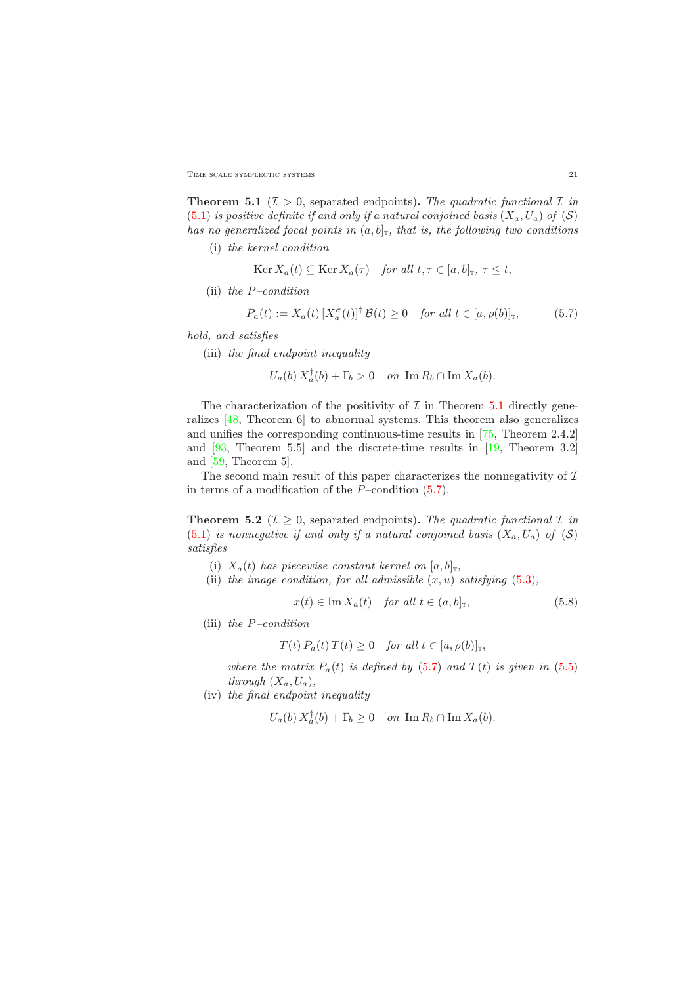TIME SCALE SYMPLECTIC SYSTEMS 21

**Theorem 5.1** ( $\mathcal{I} > 0$ , separated endpoints). The quadratic functional  $\mathcal{I}$  in [\(5.1\)](#page-17-4) is positive definite if and only if a natural conjoined basis  $(X_a, U_a)$  of  $(S)$ has no generalized focal points in  $(a, b]_T$ , that is, the following two conditions

(i) the kernel condition

$$
\operatorname{Ker} X_a(t) \subseteq \operatorname{Ker} X_a(\tau) \quad \text{for all } t, \tau \in [a, b]_{\mathbb{T}}, \tau \le t,
$$

(ii) the  $P$ -condition

$$
P_a(t) := X_a(t) \left[ X_a^{\sigma}(t) \right]^{\dagger} \mathcal{B}(t) \ge 0 \quad \text{for all } t \in [a, \rho(b)]_{\mathbb{T}}, \tag{5.7}
$$

<span id="page-20-0"></span>hold, and satisfies

(iii) the final endpoint inequality

 $\mathbb{R}^2$ 

$$
U_a(b) X_a^{\dagger}(b) + \Gamma_b > 0 \quad on \ \operatorname{Im} R_b \cap \operatorname{Im} X_a(b).
$$

The characterization of the positivity of  $\mathcal I$  in Theorem [5.1](#page-19-3) directly generalizes [\[48,](#page-29-9) Theorem 6] to abnormal systems. This theorem also generalizes and unifies the corresponding continuous-time results in [\[75,](#page-30-6) Theorem 2.4.2] and [\[93,](#page-31-11) Theorem 5.5] and the discrete-time results in [\[19,](#page-28-12) Theorem 3.2] and [\[59,](#page-30-2) Theorem 5].

The second main result of this paper characterizes the nonnegativity of  $\mathcal I$ in terms of a modification of the  $P$ –condition  $(5.7)$ .

<span id="page-20-2"></span>**Theorem 5.2** ( $\mathcal{I} \geq 0$ , separated endpoints). The quadratic functional  $\mathcal{I}$  in  $(5.1)$  is nonnegative if and only if a natural conjoined basis  $(X_a, U_a)$  of  $(S)$ satisfies

- (i)  $X_a(t)$  has piecewise constant kernel on  $[a, b]_T$ ,
- <span id="page-20-1"></span>(ii) the image condition, for all admissible  $(x, u)$  satisfying  $(5.3)$ ,

$$
x(t) \in \operatorname{Im} X_a(t) \quad \text{for all } t \in (a, b]_{\mathbb{T}}, \tag{5.8}
$$

(iii) the  $P$ -condition

$$
T(t) P_a(t) T(t) \ge 0 \quad \text{for all } t \in [a, \rho(b)]_{\mathbb{T}},
$$

where the matrix  $P_a(t)$  is defined by [\(5.7\)](#page-20-0) and  $T(t)$  is given in [\(5.5\)](#page-19-4) through  $(X_a, U_a)$ ,

(iv) the final endpoint inequality

 $U_a(b) X_a^{\dagger}(b) + \Gamma_b \ge 0$  on  $\text{Im } R_b \cap \text{Im } X_a(b)$ .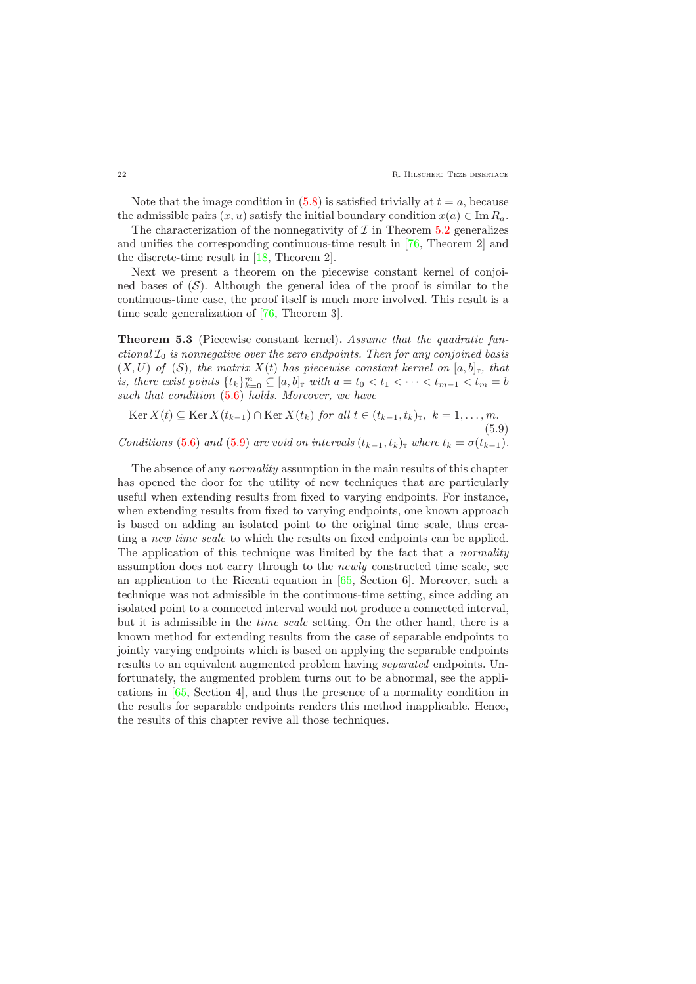Note that the image condition in  $(5.8)$  is satisfied trivially at  $t = a$ , because the admissible pairs  $(x, u)$  satisfy the initial boundary condition  $x(a) \in \text{Im } R_a$ .

The characterization of the nonnegativity of  $\mathcal I$  in Theorem [5.2](#page-20-2) generalizes and unifies the corresponding continuous-time result in [\[76,](#page-30-8) Theorem 2] and the discrete-time result in [\[18,](#page-27-9) Theorem 2].

Next we present a theorem on the piecewise constant kernel of conjoined bases of  $(S)$ . Although the general idea of the proof is similar to the continuous-time case, the proof itself is much more involved. This result is a time scale generalization of [\[76,](#page-30-8) Theorem 3].

Theorem 5.3 (Piecewise constant kernel). Assume that the quadratic functional  $\mathcal{I}_0$  is nonnegative over the zero endpoints. Then for any conjoined basis  $(X, U)$  of  $(S)$ , the matrix  $X(t)$  has piecewise constant kernel on  $[a, b]_T$ , that is, there exist points  $\{t_k\}_{k=0}^m \subseteq [a, b]$  with  $a = t_0 < t_1 < \cdots < t_{m-1} < t_m = b$ such that condition  $(5.6)$  holds. Moreover, we have

<span id="page-21-0"></span>Ker  $X(t) \subseteq \text{Ker } X(t_{k-1}) \cap \text{Ker } X(t_k)$  for all  $t \in (t_{k-1}, t_k)_\mathbb{T}$ ,  $k = 1, \ldots, m$ . (5.9)

Conditions [\(5.6\)](#page-19-2) and [\(5.9\)](#page-21-0) are void on intervals  $(t_{k-1}, t_k)$ <sub>T</sub> where  $t_k = \sigma(t_{k-1})$ .

The absence of any *normality* assumption in the main results of this chapter has opened the door for the utility of new techniques that are particularly useful when extending results from fixed to varying endpoints. For instance, when extending results from fixed to varying endpoints, one known approach is based on adding an isolated point to the original time scale, thus creating a new time scale to which the results on fixed endpoints can be applied. The application of this technique was limited by the fact that a *normality* assumption does not carry through to the newly constructed time scale, see an application to the Riccati equation in [\[65,](#page-30-9) Section 6]. Moreover, such a technique was not admissible in the continuous-time setting, since adding an isolated point to a connected interval would not produce a connected interval, but it is admissible in the time scale setting. On the other hand, there is a known method for extending results from the case of separable endpoints to jointly varying endpoints which is based on applying the separable endpoints results to an equivalent augmented problem having separated endpoints. Unfortunately, the augmented problem turns out to be abnormal, see the applications in [\[65,](#page-30-9) Section 4], and thus the presence of a normality condition in the results for separable endpoints renders this method inapplicable. Hence, the results of this chapter revive all those techniques.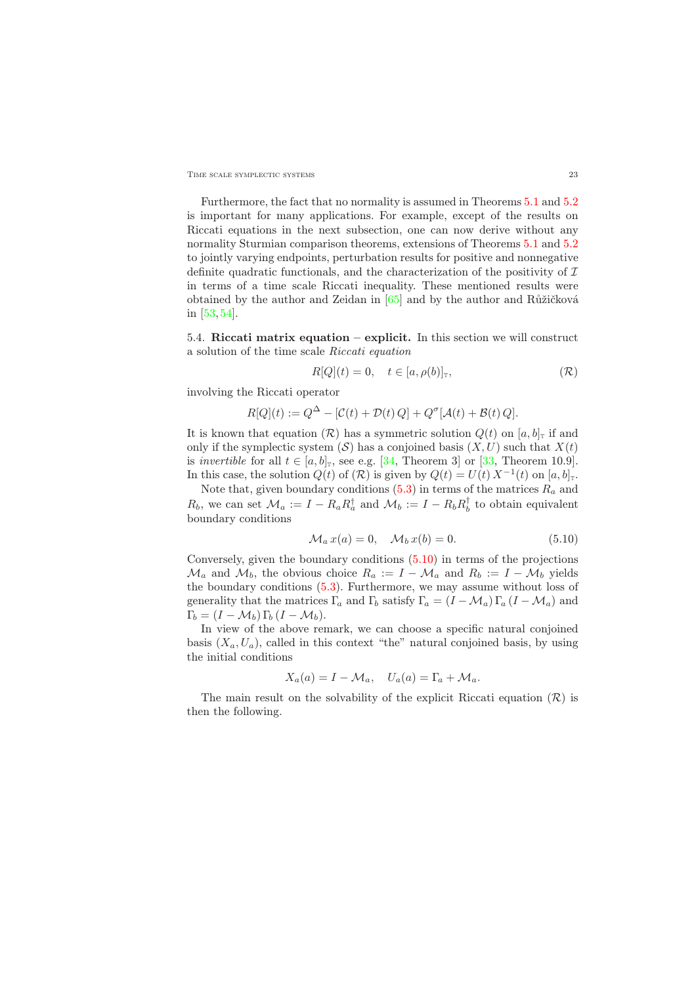TIME SCALE SYMPLECTIC SYSTEMS 23

Furthermore, the fact that no normality is assumed in Theorems [5.1](#page-19-3) and [5.2](#page-20-2) is important for many applications. For example, except of the results on Riccati equations in the next subsection, one can now derive without any normality Sturmian comparison theorems, extensions of Theorems [5.1](#page-19-3) and [5.2](#page-20-2) to jointly varying endpoints, perturbation results for positive and nonnegative definite quadratic functionals, and the characterization of the positivity of  $\mathcal I$ in terms of a time scale Riccati inequality. These mentioned results were obtained by the author and Zeidan in  $[65]$  and by the author and Růžičková in [\[53,](#page-29-11) [54\]](#page-29-12).

<span id="page-22-0"></span>5.4. Riccati matrix equation – explicit. In this section we will construct a solution of the time scale Riccati equation

$$
R[Q](t) = 0, \quad t \in [a, \rho(b)]_{\mathbb{T}}, \tag{R}
$$

involving the Riccati operator

$$
R[Q](t) := Q^{\Delta} - [\mathcal{C}(t) + \mathcal{D}(t) Q] + Q^{\sigma}[\mathcal{A}(t) + \mathcal{B}(t) Q].
$$

It is known that equation  $(\mathcal{R})$  has a symmetric solution  $Q(t)$  on  $[a, b]$ <sub>T</sub> if and only if the symplectic system  $(S)$  has a conjoined basis  $(X, U)$  such that  $X(t)$ is *invertible* for all  $t \in [a, b]_T$ , see e.g. [\[34,](#page-28-9) Theorem 3] or [\[33,](#page-28-10) Theorem 10.9]. In this case, the solution  $Q(t)$  of  $(\mathcal{R})$  is given by  $Q(t) = U(t) X^{-1}(t)$  on  $[a, b]_{\mathcal{I}}$ .

Note that, given boundary conditions  $(5.3)$  in terms of the matrices  $R_a$  and  $R_b$ , we can set  $\mathcal{M}_a := I - R_a R_a^{\dagger}$  and  $\mathcal{M}_b := I - R_b R_b^{\dagger}$  to obtain equivalent boundary conditions

$$
\mathcal{M}_a x(a) = 0, \quad \mathcal{M}_b x(b) = 0. \tag{5.10}
$$

<span id="page-22-1"></span>Conversely, given the boundary conditions [\(5.10\)](#page-22-1) in terms of the projections  $\mathcal{M}_a$  and  $\mathcal{M}_b$ , the obvious choice  $R_a := I - \mathcal{M}_a$  and  $R_b := I - \mathcal{M}_b$  yields the boundary conditions [\(5.3\)](#page-17-3). Furthermore, we may assume without loss of generality that the matrices  $\Gamma_a$  and  $\Gamma_b$  satisfy  $\Gamma_a = (I - M_a) \Gamma_a (I - M_a)$  and  $\Gamma_b = (I - \mathcal{M}_b) \Gamma_b (I - \mathcal{M}_b).$ 

In view of the above remark, we can choose a specific natural conjoined basis  $(X_a, U_a)$ , called in this context "the" natural conjoined basis, by using the initial conditions

$$
X_a(a) = I - \mathcal{M}_a, \quad U_a(a) = \Gamma_a + \mathcal{M}_a.
$$

<span id="page-22-2"></span>The main result on the solvability of the explicit Riccati equation  $(R)$  is then the following.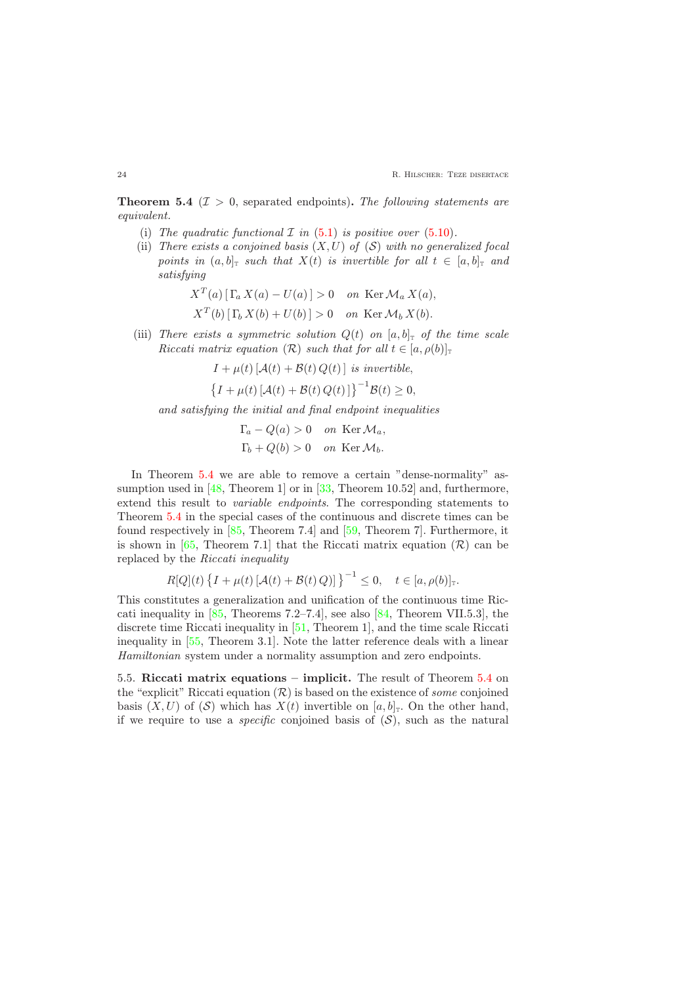**Theorem 5.4** ( $\mathcal{I} > 0$ , separated endpoints). The following statements are equivalent.

- (i) The quadratic functional  $\mathcal I$  in [\(5.1\)](#page-17-4) is positive over [\(5.10\)](#page-22-1).
- (ii) There exists a conjoined basis  $(X, U)$  of  $(S)$  with no generalized focal points in  $(a, b]_T$  such that  $X(t)$  is invertible for all  $t \in [a, b]_T$  and satisfying

$$
X^{T}(a) [\Gamma_a X(a) - U(a)] > 0 \quad on \operatorname{Ker} \mathcal{M}_a X(a),
$$
  

$$
X^{T}(b) [\Gamma_b X(b) + U(b)] > 0 \quad on \operatorname{Ker} \mathcal{M}_b X(b).
$$

(iii) There exists a symmetric solution  $Q(t)$  on  $[a, b]$ <sub>T</sub> of the time scale Riccati matrix equation  $(R)$  such that for all  $t \in [a, \rho(b)]_{\tau}$ 

$$
I + \mu(t) \left[ A(t) + B(t) Q(t) \right] \text{ is invertible,}
$$
  

$$
\left\{ I + \mu(t) \left[ A(t) + B(t) Q(t) \right] \right\}^{-1} B(t) \ge 0,
$$

and satisfying the initial and final endpoint inequalities

$$
\Gamma_a - Q(a) > 0 \quad on \ \text{Ker}\ \mathcal{M}_a,
$$
  
\n
$$
\Gamma_b + Q(b) > 0 \quad on \ \text{Ker}\ \mathcal{M}_b.
$$

In Theorem [5.4](#page-22-2) we are able to remove a certain "dense-normality" assumption used in  $[48,$  Theorem 1] or in [\[33,](#page-28-10) Theorem 10.52] and, furthermore, extend this result to variable endpoints. The corresponding statements to Theorem [5.4](#page-22-2) in the special cases of the continuous and discrete times can be found respectively in [\[85,](#page-31-12) Theorem 7.4] and [\[59,](#page-30-2) Theorem 7]. Furthermore, it is shown in [\[65,](#page-30-9) Theorem 7.1] that the Riccati matrix equation  $(\mathcal{R})$  can be replaced by the Riccati inequality

$$
R[Q](t)\left\{I+\mu(t)\left[\mathcal{A}(t)+\mathcal{B}(t)Q\right]\right\}^{-1}\leq 0, \quad t\in[a,\rho(b)]_{\mathbb{T}}.
$$

This constitutes a generalization and unification of the continuous time Riccati inequality in  $[85,$  Theorems 7.2–7.4], see also  $[84,$  Theorem VII.5.3], the discrete time Riccati inequality in [\[51,](#page-29-13) Theorem 1], and the time scale Riccati inequality in [\[55,](#page-29-14) Theorem 3.1]. Note the latter reference deals with a linear Hamiltonian system under a normality assumption and zero endpoints.

<span id="page-23-0"></span>5.5. Riccati matrix equations – implicit. The result of Theorem [5.4](#page-22-2) on the "explicit" Riccati equation  $(R)$  is based on the existence of some conjoined basis  $(X, U)$  of  $(S)$  which has  $X(t)$  invertible on  $[a, b]_T$ . On the other hand, if we require to use a *specific* conjoined basis of  $(S)$ , such as the natural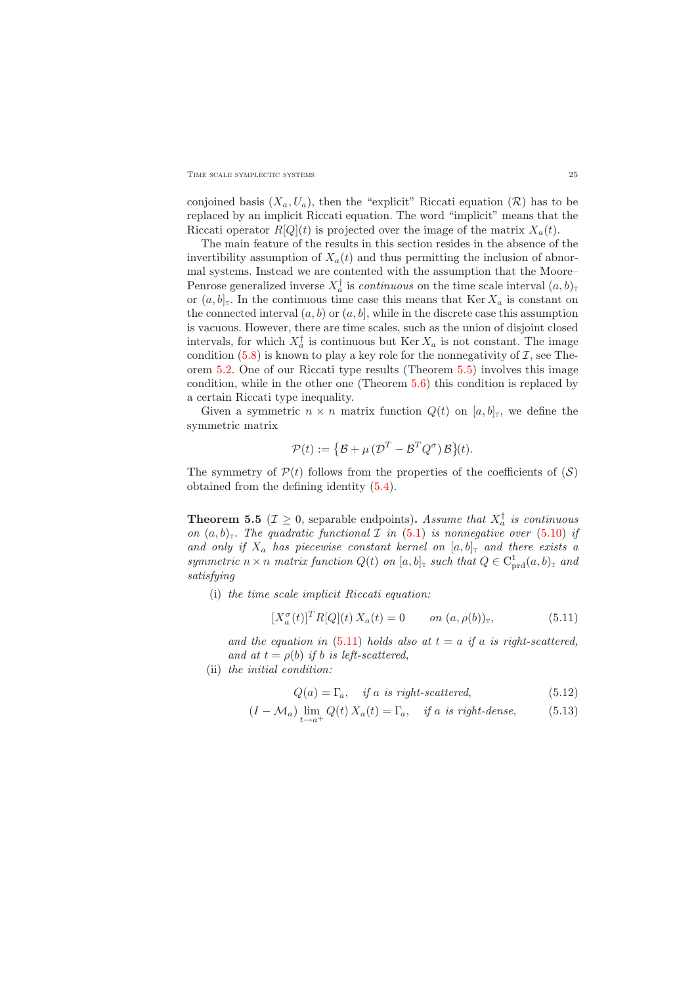#### TIME SCALE SYMPLECTIC SYSTEMS 25

conjoined basis  $(X_a, U_a)$ , then the "explicit" Riccati equation  $(\mathcal{R})$  has to be replaced by an implicit Riccati equation. The word "implicit" means that the Riccati operator  $R[Q](t)$  is projected over the image of the matrix  $X_a(t)$ .

The main feature of the results in this section resides in the absence of the invertibility assumption of  $X_a(t)$  and thus permitting the inclusion of abnormal systems. Instead we are contented with the assumption that the Moore– Penrose generalized inverse  $X_a^{\dagger}$  is *continuous* on the time scale interval  $(a, b)$ <sub>T</sub> or  $(a, b]$ <sup>T</sup>. In the continuous time case this means that Ker  $X_a$  is constant on the connected interval  $(a, b)$  or  $(a, b]$ , while in the discrete case this assumption is vacuous. However, there are time scales, such as the union of disjoint closed intervals, for which  $X_a^{\dagger}$  is continuous but Ker  $X_a$  is not constant. The image condition  $(5.8)$  is known to play a key role for the nonnegativity of  $\mathcal{I}$ , see Theorem [5.2.](#page-20-2) One of our Riccati type results (Theorem [5.5\)](#page-24-0) involves this image condition, while in the other one (Theorem [5.6\)](#page-25-0) this condition is replaced by a certain Riccati type inequality.

Given a symmetric  $n \times n$  matrix function  $Q(t)$  on  $[a, b]_T$ , we define the symmetric matrix

$$
\mathcal{P}(t) := \{ \mathcal{B} + \mu \left( \mathcal{D}^T - \mathcal{B}^T Q^{\sigma} \right) \mathcal{B} \}(t).
$$

<span id="page-24-0"></span>The symmetry of  $\mathcal{P}(t)$  follows from the properties of the coefficients of  $(\mathcal{S})$ obtained from the defining identity [\(5.4\)](#page-17-1).

**Theorem 5.5** ( $\mathcal{I} \geq 0$ , separable endpoints). Assume that  $X_a^{\dagger}$  is continuous on  $(a, b)$ <sub>T</sub>. The quadratic functional *I* in [\(5.1\)](#page-17-4) is nonnegative over [\(5.10\)](#page-22-1) if and only if  $X_a$  has piecewise constant kernel on  $[a, b]_T$  and there exists a symmetric  $n \times n$  matrix function  $Q(t)$  on  $[a, b]$ <sub>T</sub> such that  $Q \in C^1_{\text{prd}}(a, b)$ <sub>T</sub> and satisfying

<span id="page-24-1"></span>(i) the time scale implicit Riccati equation:

$$
[X_a^{\sigma}(t)]^T R[Q](t) X_a(t) = 0 \qquad on \ (a, \rho(b))_{\mathbb{T}}, \tag{5.11}
$$

and the equation in  $(5.11)$  holds also at  $t = a$  if a is right-scattered, and at  $t = \rho(b)$  if b is left-scattered,

(ii) the initial condition:

<span id="page-24-3"></span><span id="page-24-2"></span>
$$
Q(a) = \Gamma_a, \quad \text{if } a \text{ is right-scattered}, \tag{5.12}
$$

$$
(I - \mathcal{M}_a) \lim_{t \to a^+} Q(t) X_a(t) = \Gamma_a, \quad \text{if a is right-dense}, \tag{5.13}
$$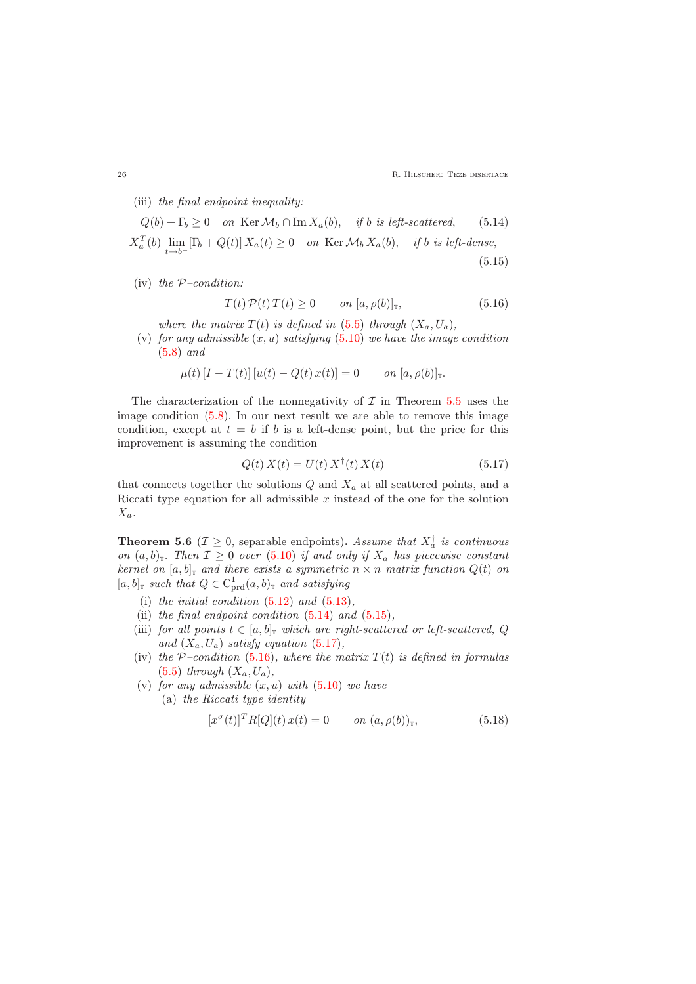(iii) the final endpoint inequality:

$$
Q(b) + \Gamma_b \ge 0 \quad on \ \text{Ker } \mathcal{M}_b \cap \text{Im } X_a(b), \quad \text{if } b \text{ is left-scattered}, \tag{5.14}
$$

$$
X_a^T(b) \lim_{t \to b^-} [\Gamma_b + Q(t)] \, X_a(t) \ge 0 \quad on \ \text{Ker } \mathcal{M}_b \, X_a(b), \quad \text{if } b \text{ is left-dense}, \tag{5.15}
$$

<span id="page-25-4"></span>(iv) the  $P$ -condition:

<span id="page-25-2"></span><span id="page-25-1"></span>
$$
T(t)\mathcal{P}(t)\,T(t) \ge 0 \qquad on \ [a,\rho(b)]_{\mathbb{T}},\tag{5.16}
$$

where the matrix  $T(t)$  is defined in [\(5.5\)](#page-19-4) through  $(X_a, U_a)$ ,

(v) for any admissible  $(x, u)$  satisfying  $(5.10)$  we have the image condition [\(5.8\)](#page-20-1) and

$$
\mu(t) [I - T(t)] [u(t) - Q(t) x(t)] = 0 \quad on [a, \rho(b)]_{\mathbb{T}}.
$$

The characterization of the nonnegativity of  $\mathcal I$  in Theorem  $5.5$  uses the image condition [\(5.8\)](#page-20-1). In our next result we are able to remove this image condition, except at  $t = b$  if b is a left-dense point, but the price for this improvement is assuming the condition

$$
Q(t) X(t) = U(t) X^{\dagger}(t) X(t)
$$
\n(5.17)

<span id="page-25-3"></span>that connects together the solutions  $Q$  and  $X_a$  at all scattered points, and a Riccati type equation for all admissible  $x$  instead of the one for the solution  $X_a$ .

<span id="page-25-0"></span>**Theorem 5.6** ( $\mathcal{I} \geq 0$ , separable endpoints). Assume that  $X_a^{\dagger}$  is continuous on  $(a, b)$ <sub>T</sub>. Then  $\mathcal{I} \geq 0$  over [\(5.10\)](#page-22-1) if and only if  $X_a$  has piecewise constant kernel on  $[a, b]_T$  and there exists a symmetric  $n \times n$  matrix function  $Q(t)$  on  $[a, b]$ <sub>T</sub> such that  $Q \in C^1_{\text{prd}}(a, b)$ <sub>T</sub> and satisfying

- (i) the initial condition  $(5.12)$  and  $(5.13)$ ,
- (ii) the final endpoint condition  $(5.14)$  and  $(5.15)$ ,
- (iii) for all points  $t \in [a, b]$ <sub>T</sub> which are right-scattered or left-scattered, Q and  $(X_a, U_a)$  satisfy equation [\(5.17\)](#page-25-3),
- (iv) the P-condition [\(5.16\)](#page-25-4), where the matrix  $T(t)$  is defined in formulas  $(5.5)$  through  $(X_a, U_a)$ ,
- <span id="page-25-5"></span>(v) for any admissible  $(x, u)$  with  $(5.10)$  we have
	- (a) the Riccati type identity

$$
[x^{\sigma}(t)]^{T} R[Q](t) x(t) = 0 \qquad on \ (a, \rho(b))_{\mathbb{T}}, \tag{5.18}
$$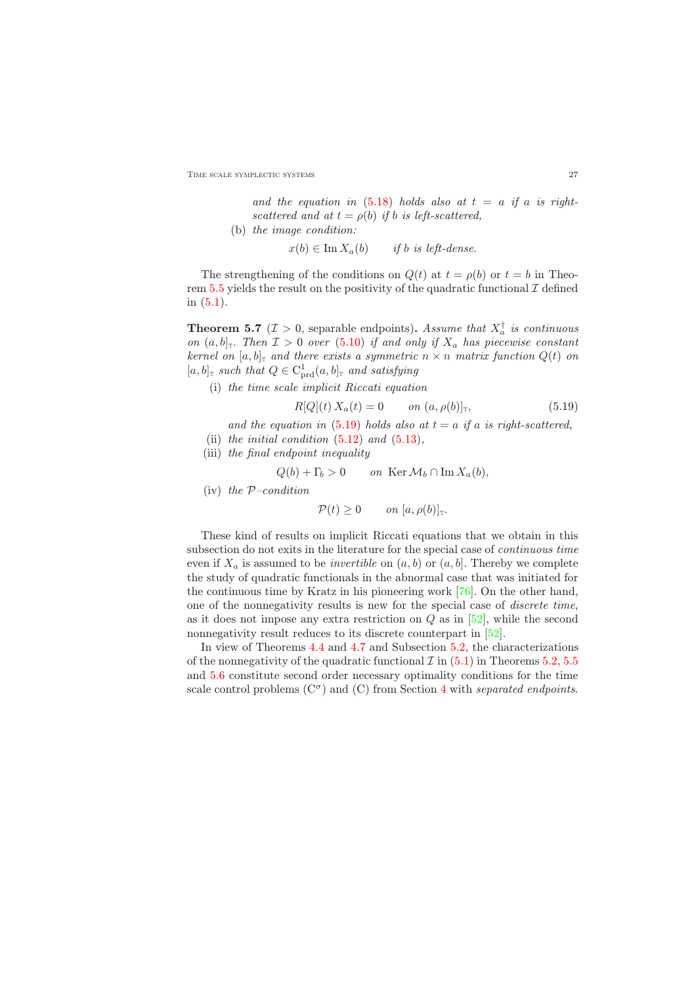TIME SCALE SYMPLECTIC SYSTEMS 27

and the equation in  $(5.18)$  holds also at  $t = a$  if a is rightscattered and at  $t = \rho(b)$  if b is left-scattered,

(b) the image condition:

 $x(b) \in \text{Im } X_a(b)$  if b is left-dense.

The strengthening of the conditions on  $Q(t)$  at  $t = \rho(b)$  or  $t = b$  in Theo-rem [5.5](#page-24-0) yields the result on the positivity of the quadratic functional  $\mathcal I$  defined in [\(5.1\)](#page-17-4).

**Theorem 5.7** ( $\mathcal{I} > 0$ , separable endpoints). Assume that  $X_a^{\dagger}$  is continuous on  $(a, b]_T$ . Then  $\mathcal{I} > 0$  over  $(5.10)$  if and only if  $X_a$  has piecewise constant kernel on  $[a, b]_T$  and there exists a symmetric  $n \times n$  matrix function  $Q(t)$  on  $[a, b]$ <sub>T</sub> such that  $Q \in C^1_{\text{prd}}(a, b]$ <sub>T</sub> and satisfying

<span id="page-26-0"></span>(i) the time scale implicit Riccati equation

$$
R[Q](t) X_a(t) = 0 \t on (a, \rho(b)]_T,
$$
\t(5.19)

- and the equation in [\(5.19\)](#page-26-0) holds also at  $t = a$  if a is right-scattered,
- (ii) the initial condition  $(5.12)$  and  $(5.13)$ ,
- (iii) the final endpoint inequality

$$
Q(b) + \Gamma_b > 0 \qquad on \ \text{Ker}\,\mathcal{M}_b \cap \text{Im}\,X_a(b),
$$

(iv) the  $P$ -condition

$$
\mathcal{P}(t) \geq 0 \qquad on \; [a, \rho(b)]_{\mathbb{T}}.
$$

These kind of results on implicit Riccati equations that we obtain in this subsection do not exits in the literature for the special case of continuous time even if  $X_a$  is assumed to be *invertible* on  $(a, b)$  or  $(a, b)$ . Thereby we complete the study of quadratic functionals in the abnormal case that was initiated for the continuous time by Kratz in his pioneering work [\[76\]](#page-30-8). On the other hand, one of the nonnegativity results is new for the special case of discrete time, as it does not impose any extra restriction on  $Q$  as in  $[52]$ , while the second nonnegativity result reduces to its discrete counterpart in [\[52\]](#page-29-15).

In view of Theorems [4.4](#page-14-2) and [4.7](#page-16-2) and Subsection [5.2,](#page-19-0) the characterizations of the nonnegativity of the quadratic functional  $\mathcal{I}$  in [\(5.1\)](#page-17-4) in Theorems [5.2,](#page-20-2) [5.5](#page-24-0) and [5.6](#page-25-0) constitute second order necessary optimality conditions for the time scale control problems  $(C^{\sigma})$  and  $(C)$  from Section [4](#page-10-0) with separated endpoints.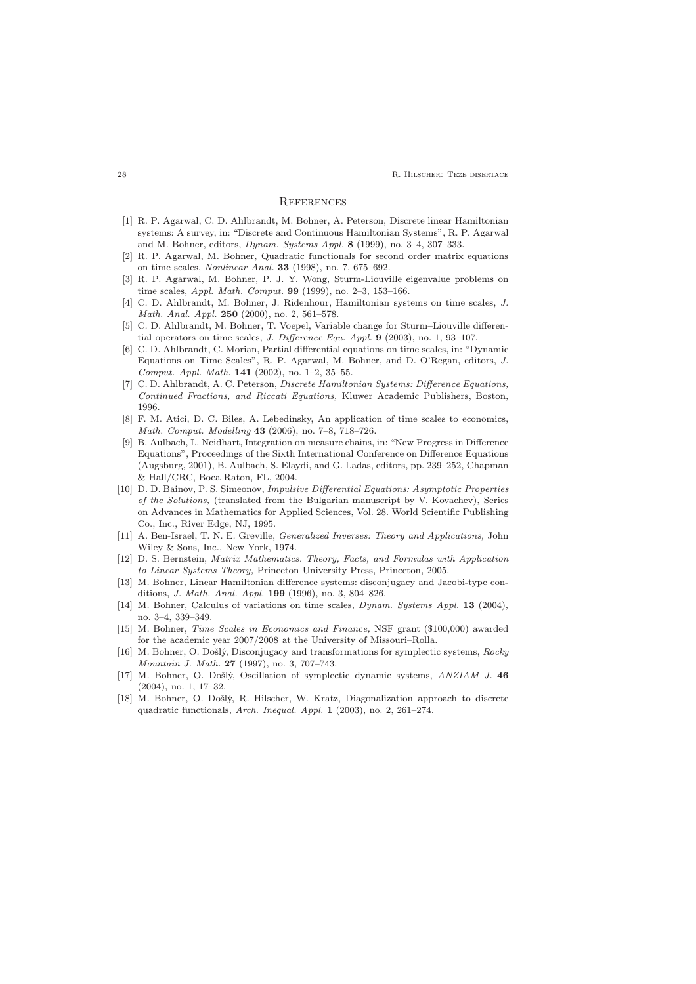<span id="page-27-0"></span>**28 R. HILSCHER: TEZE DISERTACE** 

#### **REFERENCES**

- [1] R. P. Agarwal, C. D. Ahlbrandt, M. Bohner, A. Peterson, Discrete linear Hamiltonian systems: A survey, in: "Discrete and Continuous Hamiltonian Systems", R. P. Agarwal and M. Bohner, editors, Dynam. Systems Appl. 8 (1999), no. 3–4, 307–333.
- [2] R. P. Agarwal, M. Bohner, Quadratic functionals for second order matrix equations on time scales, Nonlinear Anal. 33 (1998), no. 7, 675–692.
- <span id="page-27-7"></span><span id="page-27-6"></span>[3] R. P. Agarwal, M. Bohner, P. J. Y. Wong, Sturm-Liouville eigenvalue problems on time scales, *Appl. Math. Comput.* **99** (1999), no. 2-3, 153-166.
- [4] C. D. Ahlbrandt, M. Bohner, J. Ridenhour, Hamiltonian systems on time scales, J. Math. Anal. Appl. 250 (2000), no. 2, 561–578.
- [5] C. D. Ahlbrandt, M. Bohner, T. Voepel, Variable change for Sturm–Liouville differential operators on time scales, J. Difference Equ. Appl. 9 (2003), no. 1, 93–107.
- [6] C. D. Ahlbrandt, C. Morian, Partial differential equations on time scales, in: "Dynamic Equations on Time Scales", R. P. Agarwal, M. Bohner, and D. O'Regan, editors, J. Comput. Appl. Math. 141 (2002), no. 1–2, 35–55.
- <span id="page-27-5"></span>[7] C. D. Ahlbrandt, A. C. Peterson, *Discrete Hamiltonian Systems: Difference Equations*, Continued Fractions, and Riccati Equations, Kluwer Academic Publishers, Boston, 1996.
- <span id="page-27-2"></span>[8] F. M. Atici, D. C. Biles, A. Lebedinsky, An application of time scales to economics, Math. Comput. Modelling 43 (2006), no. 7–8, 718–726.
- [9] B. Aulbach, L. Neidhart, Integration on measure chains, in: "New Progress in Difference Equations", Proceedings of the Sixth International Conference on Difference Equations (Augsburg, 2001), B. Aulbach, S. Elaydi, and G. Ladas, editors, pp. 239–252, Chapman & Hall/CRC, Boca Raton, FL, 2004.
- <span id="page-27-1"></span>[10] D. D. Bainov, P. S. Simeonov, Impulsive Differential Equations: Asymptotic Properties of the Solutions, (translated from the Bulgarian manuscript by V. Kovachev), Series on Advances in Mathematics for Applied Sciences, Vol. 28. World Scientific Publishing Co., Inc., River Edge, NJ, 1995.
- [11] A. Ben-Israel, T. N. E. Greville, *Generalized Inverses: Theory and Applications*, John Wiley & Sons, Inc., New York, 1974.
- [12] D. S. Bernstein, Matrix Mathematics. Theory, Facts, and Formulas with Application to Linear Systems Theory, Princeton University Press, Princeton, 2005.
- [13] M. Bohner, Linear Hamiltonian difference systems: disconjugacy and Jacobi-type conditions, J. Math. Anal. Appl. 199 (1996), no. 3, 804–826.
- <span id="page-27-4"></span>[14] M. Bohner, Calculus of variations on time scales, Dynam. Systems Appl. 13 (2004), no. 3–4, 339–349.
- <span id="page-27-3"></span>[15] M. Bohner, Time Scales in Economics and Finance, NSF grant (\$100,000) awarded for the academic year 2007/2008 at the University of Missouri–Rolla.
- [16] M. Bohner, O. Došlý, Disconjugacy and transformations for symplectic systems, Rocky Mountain J. Math. 27 (1997), no. 3, 707–743.
- <span id="page-27-8"></span>[17] M. Bohner, O. Došlý, Oscillation of symplectic dynamic systems, ANZIAM J. 46 (2004), no. 1, 17–32.
- <span id="page-27-9"></span>[18] M. Bohner, O. Došlý, R. Hilscher, W. Kratz, Diagonalization approach to discrete quadratic functionals, Arch. Inequal. Appl. 1 (2003), no. 2, 261–274.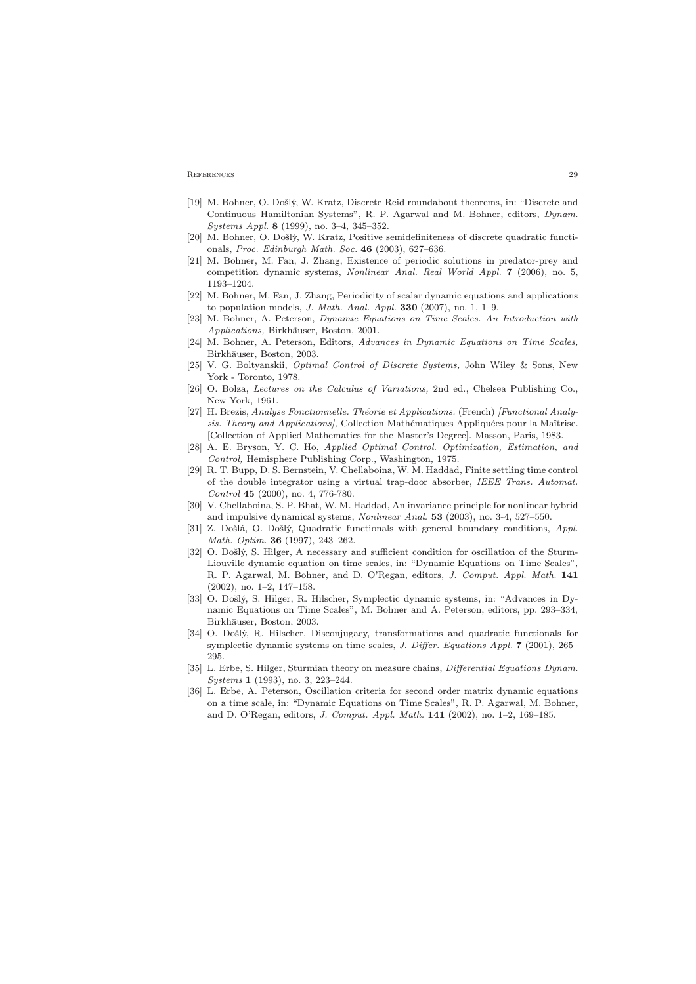#### <span id="page-28-12"></span>**REFERENCES** 29

- [19] M. Bohner, O. Došlý, W. Kratz, Discrete Reid roundabout theorems, in: "Discrete and Continuous Hamiltonian Systems", R. P. Agarwal and M. Bohner, editors, Dynam. Systems Appl. 8 (1999), no. 3–4, 345–352.
- [20] M. Bohner, O. Došlý, W. Kratz, Positive semidefiniteness of discrete quadratic functionals, Proc. Edinburgh Math. Soc. 46 (2003), 627–636.
- <span id="page-28-2"></span>[21] M. Bohner, M. Fan, J. Zhang, Existence of periodic solutions in predator-prey and competition dynamic systems, Nonlinear Anal. Real World Appl. 7 (2006), no. 5, 1193–1204.
- <span id="page-28-3"></span><span id="page-28-0"></span>[22] M. Bohner, M. Fan, J. Zhang, Periodicity of scalar dynamic equations and applications to population models, J. Math. Anal. Appl.  $330$  (2007), no. 1, 1–9.
- [23] M. Bohner, A. Peterson, Dynamic Equations on Time Scales. An Introduction with Applications, Birkhäuser, Boston, 2001.
- <span id="page-28-5"></span><span id="page-28-1"></span>[24] M. Bohner, A. Peterson, Editors, Advances in Dynamic Equations on Time Scales, Birkhäuser, Boston, 2003.
- [25] V. G. Boltyanskii, Optimal Control of Discrete Systems, John Wiley & Sons, New York - Toronto, 1978.
- [26] O. Bolza, *Lectures on the Calculus of Variations*, 2nd ed., Chelsea Publishing Co., New York, 1961.
- [27] H. Brezis, Analyse Fonctionnelle. Théorie et Applications. (French) [Functional Analysis. Theory and Applications], Collection Mathématiques Appliquées pour la Maîtrise. [Collection of Applied Mathematics for the Master's Degree]. Masson, Paris, 1983.
- <span id="page-28-11"></span>[28] A. E. Bryson, Y. C. Ho, Applied Optimal Control. Optimization, Estimation, and Control, Hemisphere Publishing Corp., Washington, 1975.
- <span id="page-28-4"></span>[29] R. T. Bupp, D. S. Bernstein, V. Chellaboina, W. M. Haddad, Finite settling time control of the double integrator using a virtual trap-door absorber, IEEE Trans. Automat. Control 45 (2000), no. 4, 776-780.
- [30] V. Chellaboina, S. P. Bhat, W. M. Haddad, An invariance principle for nonlinear hybrid and impulsive dynamical systems, Nonlinear Anal. 53 (2003), no. 3-4, 527–550.
- [31] Z. Došlá, O. Došlý, Quadratic functionals with general boundary conditions, Appl. Math. Optim. 36 (1997), 243–262.
- <span id="page-28-6"></span>[32] O. Došlý, S. Hilger, A necessary and sufficient condition for oscillation of the Sturm-Liouville dynamic equation on time scales, in: "Dynamic Equations on Time Scales", R. P. Agarwal, M. Bohner, and D. O'Regan, editors, J. Comput. Appl. Math. 141 (2002), no. 1–2, 147–158.
- <span id="page-28-10"></span>[33] O. Došlý, S. Hilger, R. Hilscher, Symplectic dynamic systems, in: "Advances in Dynamic Equations on Time Scales", M. Bohner and A. Peterson, editors, pp. 293–334, Birkhäuser, Boston, 2003.
- <span id="page-28-9"></span>[34] O. Došlý, R. Hilscher, Disconjugacy, transformations and quadratic functionals for symplectic dynamic systems on time scales, J. Differ. Equations Appl. 7 (2001), 265– 295.
- <span id="page-28-7"></span>[35] L. Erbe, S. Hilger, Sturmian theory on measure chains, *Differential Equations Dynam.* Systems 1 (1993), no. 3, 223–244.
- <span id="page-28-8"></span>[36] L. Erbe, A. Peterson, Oscillation criteria for second order matrix dynamic equations on a time scale, in: "Dynamic Equations on Time Scales", R. P. Agarwal, M. Bohner, and D. O'Regan, editors, J. Comput. Appl. Math. 141 (2002), no. 1–2, 169–185.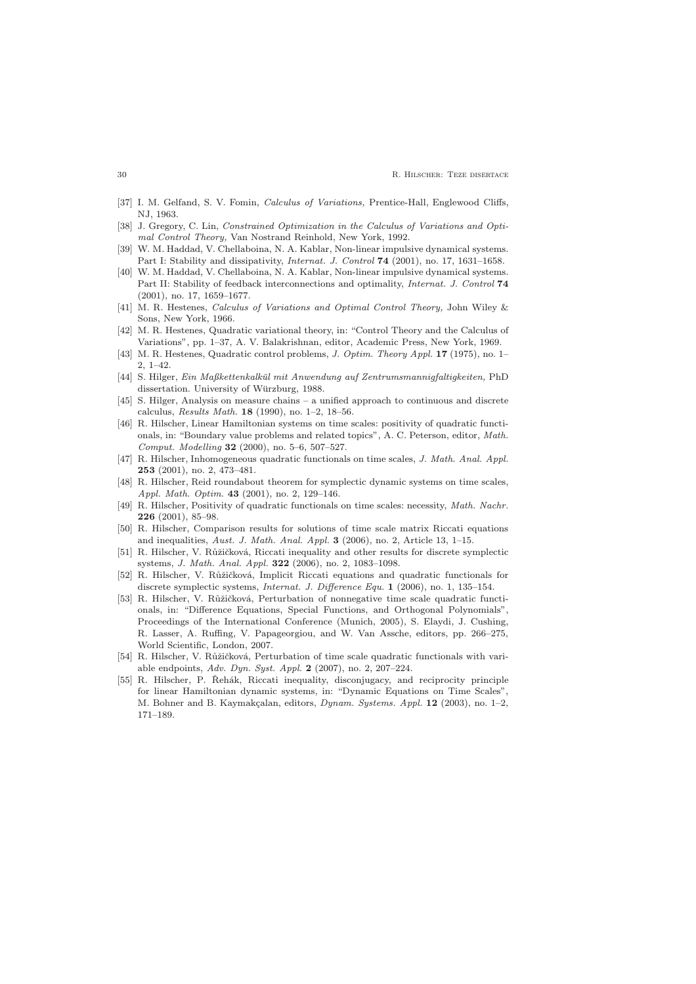- <span id="page-29-4"></span>[37] I. M. Gelfand, S. V. Fomin, Calculus of Variations, Prentice-Hall, Englewood Cliffs, NJ, 1963.
- [38] J. Gregory, C. Lin, *Constrained Optimization in the Calculus of Variations and Opti*mal Control Theory, Van Nostrand Reinhold, New York, 1992.
- <span id="page-29-1"></span>[39] W. M. Haddad, V. Chellaboina, N. A. Kablar, Non-linear impulsive dynamical systems. Part I: Stability and dissipativity, *Internat. J. Control* 74 (2001), no. 17, 1631-1658.
- <span id="page-29-2"></span>[40] W. M. Haddad, V. Chellaboina, N. A. Kablar, Non-linear impulsive dynamical systems. Part II: Stability of feedback interconnections and optimality, Internat. J. Control 74 (2001), no. 17, 1659–1677.
- <span id="page-29-3"></span>[41] M. R. Hestenes, Calculus of Variations and Optimal Control Theory, John Wiley & Sons, New York, 1966.
- <span id="page-29-6"></span>[42] M. R. Hestenes, Quadratic variational theory, in: "Control Theory and the Calculus of Variations", pp. 1–37, A. V. Balakrishnan, editor, Academic Press, New York, 1969.
- <span id="page-29-5"></span>[43] M. R. Hestenes, Quadratic control problems, J. Optim. Theory Appl. 17 (1975), no. 1– 2, 1–42.
- <span id="page-29-0"></span>[44] S. Hilger, Ein Maßkettenkalkül mit Anwendung auf Zentrumsmannigfaltigkeiten, PhD dissertation. University of Würzburg, 1988.
- [45] S. Hilger, Analysis on measure chains a unified approach to continuous and discrete calculus, Results Math. 18 (1990), no. 1–2, 18–56.
- <span id="page-29-7"></span>[46] R. Hilscher, Linear Hamiltonian systems on time scales: positivity of quadratic functionals, in: "Boundary value problems and related topics", A. C. Peterson, editor, Math. Comput. Modelling 32 (2000), no. 5–6, 507–527.
- [47] R. Hilscher, Inhomogeneous quadratic functionals on time scales, J. Math. Anal. Appl. 253 (2001), no. 2, 473–481.
- <span id="page-29-9"></span><span id="page-29-8"></span>[48] R. Hilscher, Reid roundabout theorem for symplectic dynamic systems on time scales, Appl. Math. Optim. 43 (2001), no. 2, 129–146.
- [49] R. Hilscher, Positivity of quadratic functionals on time scales: necessity, Math. Nachr. 226 (2001), 85–98.
- <span id="page-29-10"></span>[50] R. Hilscher, Comparison results for solutions of time scale matrix Riccati equations and inequalities, Aust. J. Math. Anal. Appl. 3 (2006), no. 2, Article 13, 1–15.
- <span id="page-29-13"></span>[51] R. Hilscher, V. Růžičková, Riccati inequality and other results for discrete symplectic systems, J. Math. Anal. Appl. 322 (2006), no. 2, 1083–1098.
- <span id="page-29-15"></span>[52] R. Hilscher, V. Růžičková, Implicit Riccati equations and quadratic functionals for discrete symplectic systems, Internat. J. Difference Equ. 1 (2006), no. 1, 135–154.
- <span id="page-29-11"></span>[53] R. Hilscher, V. Růžičková, Perturbation of nonnegative time scale quadratic functionals, in: "Difference Equations, Special Functions, and Orthogonal Polynomials", Proceedings of the International Conference (Munich, 2005), S. Elaydi, J. Cushing, R. Lasser, A. Ruffing, V. Papageorgiou, and W. Van Assche, editors, pp. 266–275, World Scientific, London, 2007.
- <span id="page-29-12"></span>[54] R. Hilscher, V. Růžičková, Perturbation of time scale quadratic functionals with variable endpoints, Adv. Dyn. Syst. Appl. 2 (2007), no. 2, 207–224.
- <span id="page-29-14"></span>[55] R. Hilscher, P. Řehák, Riccati inequality, disconjugacy, and reciprocity principle for linear Hamiltonian dynamic systems, in: "Dynamic Equations on Time Scales", M. Bohner and B. Kaymakçalan, editors, *Dynam. Systems. Appl.* 12 (2003), no. 1-2, 171–189.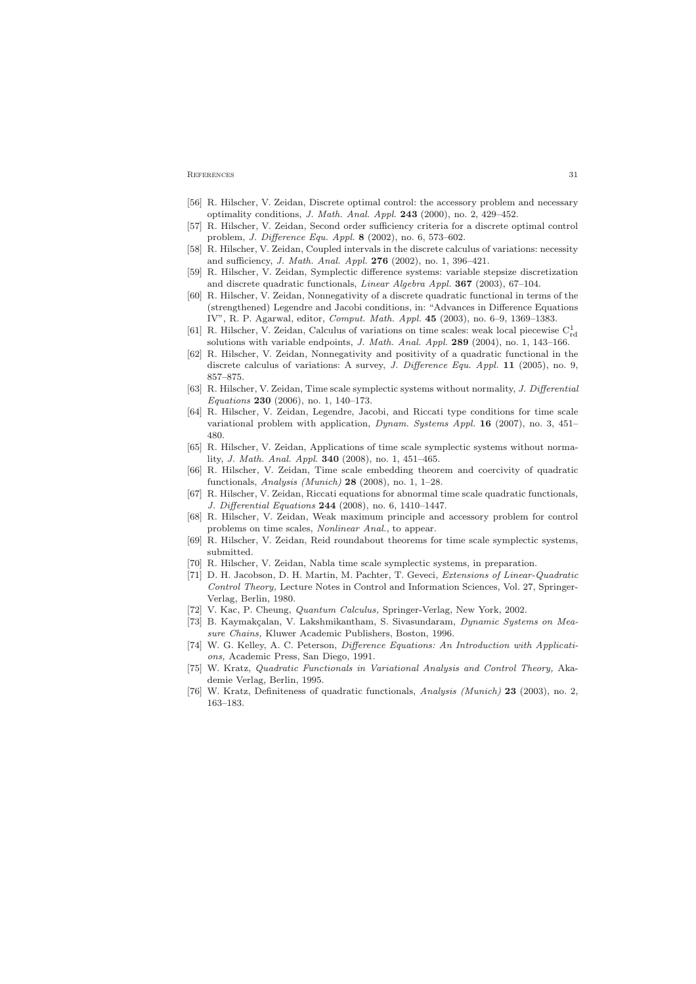#### REFERENCES 31

- <span id="page-30-7"></span><span id="page-30-1"></span>[56] R. Hilscher, V. Zeidan, Discrete optimal control: the accessory problem and necessary optimality conditions, J. Math. Anal. Appl. 243 (2000), no. 2, 429–452.
- [57] R. Hilscher, V. Zeidan, Second order sufficiency criteria for a discrete optimal control problem, J. Difference Equ. Appl. 8 (2002), no. 6, 573–602.
- [58] R. Hilscher, V. Zeidan, Coupled intervals in the discrete calculus of variations: necessity and sufficiency, J. Math. Anal. Appl. 276 (2002), no. 1, 396–421.
- <span id="page-30-2"></span>[59] R. Hilscher, V. Zeidan, Symplectic difference systems: variable stepsize discretization and discrete quadratic functionals, Linear Algebra Appl. 367 (2003), 67–104.
- [60] R. Hilscher, V. Zeidan, Nonnegativity of a discrete quadratic functional in terms of the (strengthened) Legendre and Jacobi conditions, in: "Advances in Difference Equations IV", R. P. Agarwal, editor, Comput. Math. Appl. 45 (2003), no. 6–9, 1369–1383.
- <span id="page-30-5"></span>[61] R. Hilscher, V. Zeidan, Calculus of variations on time scales: weak local piecewise  $C_{rd}^1$ solutions with variable endpoints, J. Math. Anal. Appl. 289 (2004), no. 1, 143–166.
- <span id="page-30-4"></span>[62] R. Hilscher, V. Zeidan, Nonnegativity and positivity of a quadratic functional in the discrete calculus of variations: A survey, *J. Difference Equ. Appl.* **11** (2005), no. 9, 857–875.
- [63] R. Hilscher, V. Zeidan, Time scale symplectic systems without normality, J. Differential Equations 230 (2006), no. 1, 140–173.
- [64] R. Hilscher, V. Zeidan, Legendre, Jacobi, and Riccati type conditions for time scale variational problem with application, Dynam. Systems Appl. 16 (2007), no. 3, 451– 480.
- <span id="page-30-9"></span>[65] R. Hilscher, V. Zeidan, Applications of time scale symplectic systems without normality, J. Math. Anal. Appl. 340 (2008), no. 1, 451–465.
- [66] R. Hilscher, V. Zeidan, Time scale embedding theorem and coercivity of quadratic functionals, Analysis (Munich) 28 (2008), no. 1, 1–28.
- [67] R. Hilscher, V. Zeidan, Riccati equations for abnormal time scale quadratic functionals, J. Differential Equations 244 (2008), no. 6, 1410–1447.
- [68] R. Hilscher, V. Zeidan, Weak maximum principle and accessory problem for control problems on time scales, Nonlinear Anal., to appear.
- [69] R. Hilscher, V. Zeidan, Reid roundabout theorems for time scale symplectic systems, submitted.
- [70] R. Hilscher, V. Zeidan, Nabla time scale symplectic systems, in preparation.
- [71] D. H. Jacobson, D. H. Martin, M. Pachter, T. Geveci, Extensions of Linear-Quadratic Control Theory, Lecture Notes in Control and Information Sciences, Vol. 27, Springer-Verlag, Berlin, 1980.
- [72] V. Kac, P. Cheung, *Quantum Calculus*, Springer-Verlag, New York, 2002.
- <span id="page-30-3"></span><span id="page-30-0"></span>[73] B. Kaymakçalan, V. Lakshmikantham, S. Sivasundaram, *Dynamic Systems on Mea*sure Chains, Kluwer Academic Publishers, Boston, 1996.
- [74] W. G. Kelley, A. C. Peterson, Difference Equations: An Introduction with Applications, Academic Press, San Diego, 1991.
- <span id="page-30-8"></span><span id="page-30-6"></span>[75] W. Kratz, Quadratic Functionals in Variational Analysis and Control Theory, Akademie Verlag, Berlin, 1995.
- [76] W. Kratz, Definiteness of quadratic functionals, Analysis (Munich) 23 (2003), no. 2, 163–183.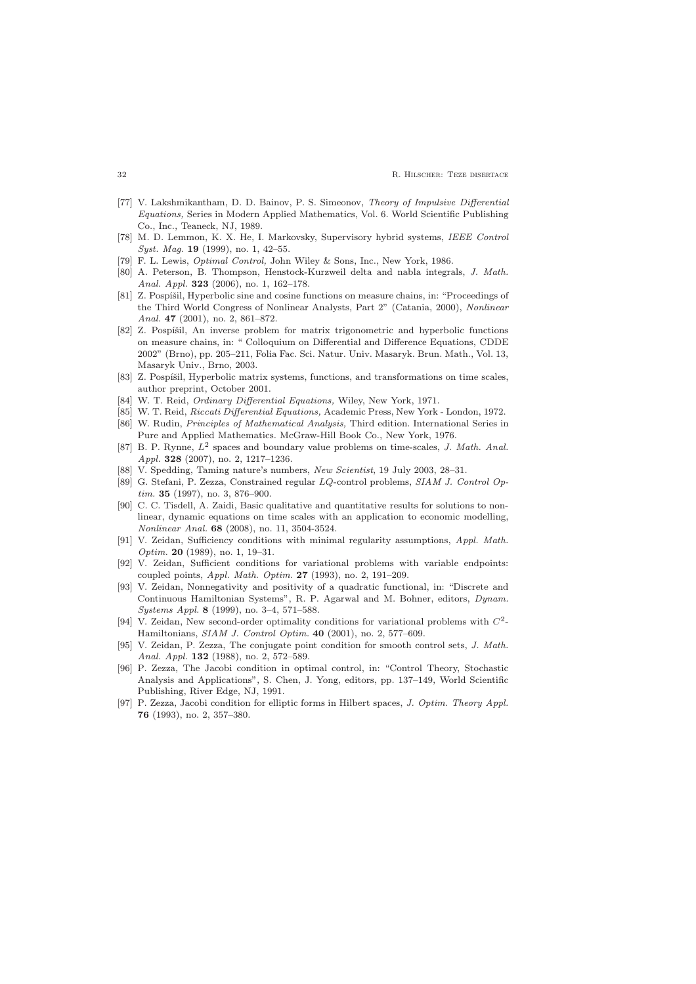- <span id="page-31-2"></span>[77] V. Lakshmikantham, D. D. Bainov, P. S. Simeonov, Theory of Impulsive Differential Equations, Series in Modern Applied Mathematics, Vol. 6. World Scientific Publishing Co., Inc., Teaneck, NJ, 1989.
- <span id="page-31-4"></span><span id="page-31-1"></span>[78] M. D. Lemmon, K. X. He, I. Markovsky, Supervisory hybrid systems, IEEE Control Syst. Mag. 19 (1999), no. 1, 42-55.
- [79] F. L. Lewis, Optimal Control, John Wiley & Sons, Inc., New York, 1986.
- [80] A. Peterson, B. Thompson, Henstock-Kurzweil delta and nabla integrals, J. Math. Anal. Appl. 323 (2006), no. 1, 162-178.
- <span id="page-31-5"></span>[81] Z. Pospíšil, Hyperbolic sine and cosine functions on measure chains, in: "Proceedings of the Third World Congress of Nonlinear Analysts, Part 2" (Catania, 2000), Nonlinear Anal. **47** (2001), no. 2, 861-872.
- <span id="page-31-6"></span>[82] Z. Pospíšil, An inverse problem for matrix trigonometric and hyperbolic functions on measure chains, in: " Colloquium on Differential and Difference Equations, CDDE 2002" (Brno), pp. 205–211, Folia Fac. Sci. Natur. Univ. Masaryk. Brun. Math., Vol. 13, Masaryk Univ., Brno, 2003.
- <span id="page-31-13"></span><span id="page-31-7"></span>[83] Z. Pospíšil, Hyperbolic matrix systems, functions, and transformations on time scales, author preprint, October 2001.
- <span id="page-31-12"></span>[84] W. T. Reid, Ordinary Differential Equations, Wiley, New York, 1971.
- [85] W. T. Reid, Riccati Differential Equations, Academic Press, New York London, 1972.
- [86] W. Rudin, *Principles of Mathematical Analysis*, Third edition. International Series in Pure and Applied Mathematics. McGraw-Hill Book Co., New York, 1976.
- [87] B. P. Rynne,  $L^2$  spaces and boundary value problems on time-scales, J. Math. Anal. Appl. 328 (2007), no. 2, 1217-1236.
- <span id="page-31-8"></span><span id="page-31-0"></span>[88] V. Spedding, Taming nature's numbers, New Scientist, 19 July 2003, 28–31.
- [89] G. Stefani, P. Zezza, Constrained regular LQ-control problems, SIAM J. Control Optim. 35 (1997), no. 3, 876-900.
- <span id="page-31-3"></span>[90] C. C. Tisdell, A. Zaidi, Basic qualitative and quantitative results for solutions to nonlinear, dynamic equations on time scales with an application to economic modelling, Nonlinear Anal. 68 (2008), no. 11, 3504-3524.
- [91] V. Zeidan, Sufficiency conditions with minimal regularity assumptions, Appl. Math. Optim. 20 (1989), no. 1, 19–31.
- [92] V. Zeidan, Sufficient conditions for variational problems with variable endpoints: coupled points, Appl. Math. Optim. 27 (1993), no. 2, 191–209.
- <span id="page-31-11"></span>[93] V. Zeidan, Nonnegativity and positivity of a quadratic functional, in: "Discrete and Continuous Hamiltonian Systems", R. P. Agarwal and M. Bohner, editors, Dynam. Systems Appl. 8 (1999), no. 3–4, 571–588.
- <span id="page-31-9"></span>[94] V. Zeidan, New second-order optimality conditions for variational problems with  $C^2$ -Hamiltonians, SIAM J. Control Optim. 40 (2001), no. 2, 577–609.
- [95] V. Zeidan, P. Zezza, The conjugate point condition for smooth control sets, J. Math. Anal. Appl. 132 (1988), no. 2, 572-589.
- <span id="page-31-10"></span>[96] P. Zezza, The Jacobi condition in optimal control, in: "Control Theory, Stochastic Analysis and Applications", S. Chen, J. Yong, editors, pp. 137–149, World Scientific Publishing, River Edge, NJ, 1991.
- [97] P. Zezza, Jacobi condition for elliptic forms in Hilbert spaces, J. Optim. Theory Appl. 76 (1993), no. 2, 357–380.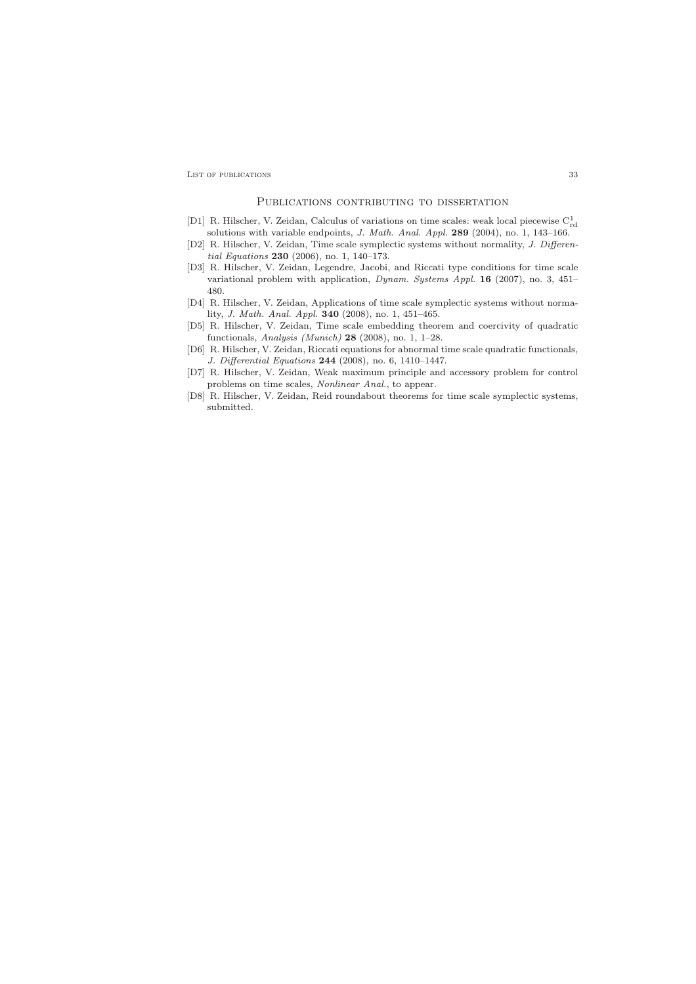LIST OF PUBLICATIONS 33

#### PUBLICATIONS CONTRIBUTING TO DISSERTATION

- <span id="page-32-0"></span>[D1] R. Hilscher, V. Zeidan, Calculus of variations on time scales: weak local piecewise  $C_{\rm rd}^1$ solutions with variable endpoints, J. Math. Anal. Appl. 289 (2004), no. 1, 143–166.
- [D2] R. Hilscher, V. Zeidan, Time scale symplectic systems without normality, J. Differential Equations 230 (2006), no. 1, 140–173.
- [D3] R. Hilscher, V. Zeidan, Legendre, Jacobi, and Riccati type conditions for time scale variational problem with application, Dynam. Systems Appl. 16 (2007), no. 3, 451– 480.
- [D4] R. Hilscher, V. Zeidan, Applications of time scale symplectic systems without normality, J. Math. Anal. Appl. 340 (2008), no. 1, 451–465.
- [D5] R. Hilscher, V. Zeidan, Time scale embedding theorem and coercivity of quadratic functionals, Analysis (Munich)  $28$  (2008), no. 1, 1–28.
- [D6] R. Hilscher, V. Zeidan, Riccati equations for abnormal time scale quadratic functionals, J. Differential Equations 244 (2008), no. 6, 1410–1447.
- [D7] R. Hilscher, V. Zeidan, Weak maximum principle and accessory problem for control problems on time scales, Nonlinear Anal., to appear.
- [D8] R. Hilscher, V. Zeidan, Reid roundabout theorems for time scale symplectic systems, submitted.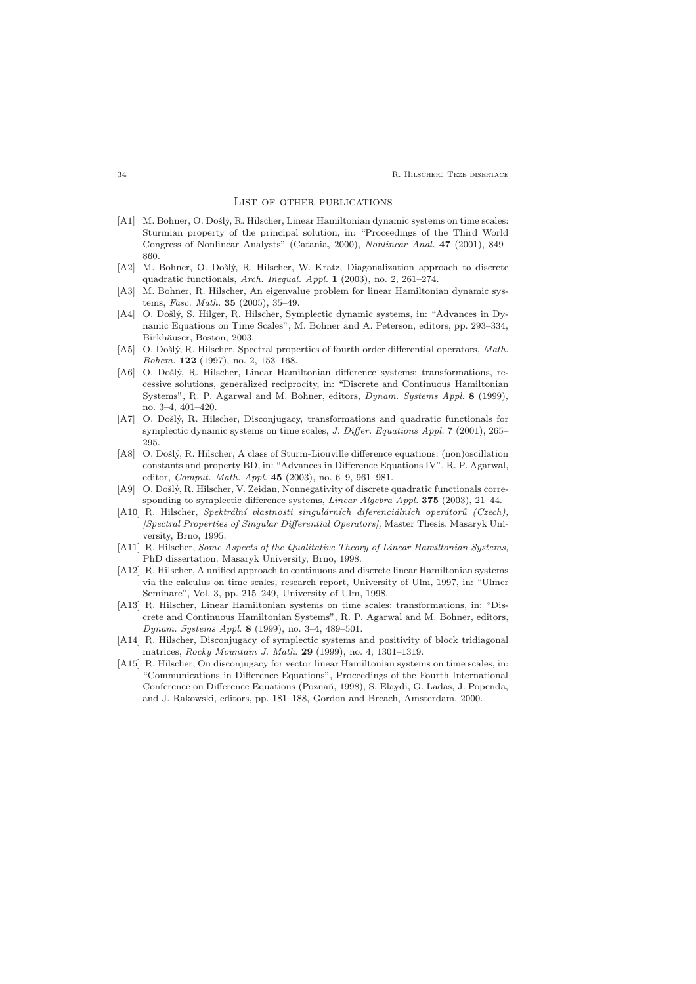#### List of other publications

- <span id="page-33-0"></span>[A1] M. Bohner, O. Došlý, R. Hilscher, Linear Hamiltonian dynamic systems on time scales: Sturmian property of the principal solution, in: "Proceedings of the Third World Congress of Nonlinear Analysts" (Catania, 2000), Nonlinear Anal. 47 (2001), 849– 860.
- [A2] M. Bohner, O. Došlý, R. Hilscher, W. Kratz, Diagonalization approach to discrete quadratic functionals, Arch. Inequal. Appl. 1 (2003), no. 2, 261–274.
- [A3] M. Bohner, R. Hilscher, An eigenvalue problem for linear Hamiltonian dynamic systems, Fasc. Math. 35 (2005), 35–49.
- [A4] O. Došlý, S. Hilger, R. Hilscher, Symplectic dynamic systems, in: "Advances in Dynamic Equations on Time Scales", M. Bohner and A. Peterson, editors, pp. 293–334, Birkhäuser, Boston, 2003.
- [A5] O. Došlý, R. Hilscher, Spectral properties of fourth order differential operators, Math. Bohem. 122 (1997), no. 2, 153–168.
- [A6] O. Došlý, R. Hilscher, Linear Hamiltonian difference systems: transformations, recessive solutions, generalized reciprocity, in: "Discrete and Continuous Hamiltonian Systems", R. P. Agarwal and M. Bohner, editors, Dynam. Systems Appl. 8 (1999), no. 3–4, 401–420.
- [A7] O. Došlý, R. Hilscher, Disconjugacy, transformations and quadratic functionals for symplectic dynamic systems on time scales, J. Differ. Equations Appl. 7 (2001), 265– 295.
- [A8] O. Došlý, R. Hilscher, A class of Sturm-Liouville difference equations: (non)oscillation constants and property BD, in: "Advances in Difference Equations IV", R. P. Agarwal, editor, Comput. Math. Appl. 45 (2003), no. 6–9, 961–981.
- [A9] O. Došlý, R. Hilscher, V. Zeidan, Nonnegativity of discrete quadratic functionals corresponding to symplectic difference systems, Linear Algebra Appl. 375 (2003), 21–44.
- [A10] R. Hilscher, Spektrální vlastnosti singulárních diferenciálních operátorů (Czech), [Spectral Properties of Singular Differential Operators], Master Thesis. Masaryk University, Brno, 1995.
- [A11] R. Hilscher, Some Aspects of the Qualitative Theory of Linear Hamiltonian Systems, PhD dissertation. Masaryk University, Brno, 1998.
- [A12] R. Hilscher, A unified approach to continuous and discrete linear Hamiltonian systems via the calculus on time scales, research report, University of Ulm, 1997, in: "Ulmer Seminare", Vol. 3, pp. 215–249, University of Ulm, 1998.
- [A13] R. Hilscher, Linear Hamiltonian systems on time scales: transformations, in: "Discrete and Continuous Hamiltonian Systems", R. P. Agarwal and M. Bohner, editors, Dynam. Systems Appl. 8 (1999), no. 3–4, 489–501.
- [A14] R. Hilscher, Disconjugacy of symplectic systems and positivity of block tridiagonal matrices, Rocky Mountain J. Math. 29 (1999), no. 4, 1301–1319.
- [A15] R. Hilscher, On disconjugacy for vector linear Hamiltonian systems on time scales, in: "Communications in Difference Equations", Proceedings of the Fourth International Conference on Difference Equations (Poznań, 1998), S. Elaydi, G. Ladas, J. Popenda, and J. Rakowski, editors, pp. 181–188, Gordon and Breach, Amsterdam, 2000.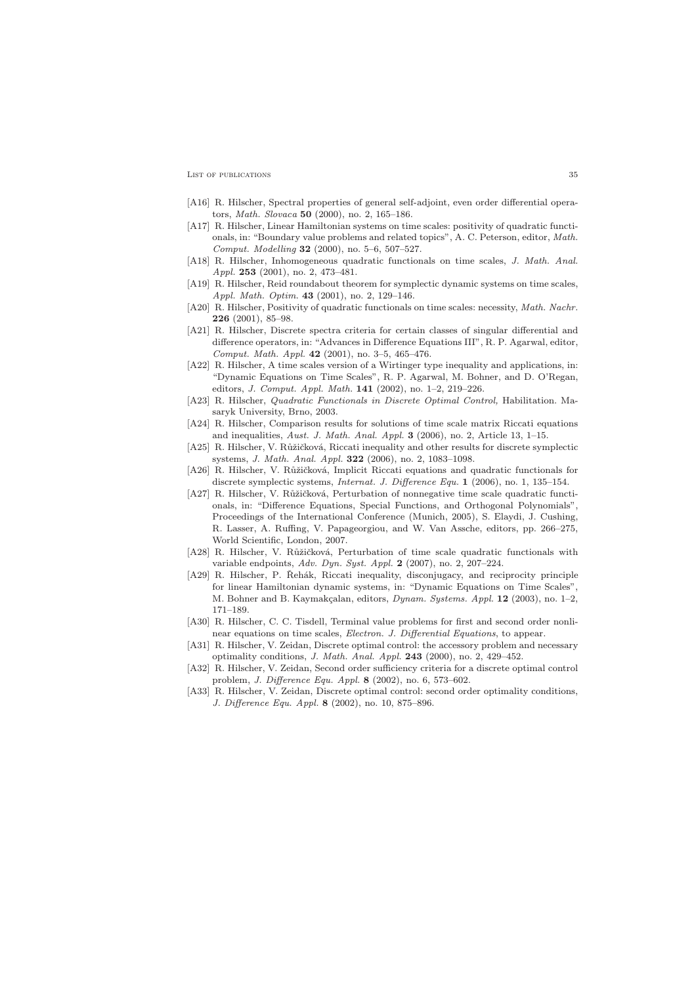LIST OF PUBLICATIONS 35

- [A16] R. Hilscher, Spectral properties of general self-adjoint, even order differential operators, Math. Slovaca 50 (2000), no. 2, 165–186.
- [A17] R. Hilscher, Linear Hamiltonian systems on time scales: positivity of quadratic functionals, in: "Boundary value problems and related topics", A. C. Peterson, editor, Math. Comput. Modelling 32 (2000), no. 5–6, 507–527.
- [A18] R. Hilscher, Inhomogeneous quadratic functionals on time scales, J. Math. Anal. Appl. 253 (2001), no. 2, 473–481.
- [A19] R. Hilscher, Reid roundabout theorem for symplectic dynamic systems on time scales, Appl. Math. Optim. 43 (2001), no. 2, 129–146.
- [A20] R. Hilscher, Positivity of quadratic functionals on time scales: necessity, *Math. Nachr.* 226 (2001), 85–98.
- [A21] R. Hilscher, Discrete spectra criteria for certain classes of singular differential and difference operators, in: "Advances in Difference Equations III", R. P. Agarwal, editor, Comput. Math. Appl. 42 (2001), no. 3–5, 465–476.
- [A22] R. Hilscher, A time scales version of a Wirtinger type inequality and applications, in: "Dynamic Equations on Time Scales", R. P. Agarwal, M. Bohner, and D. O'Regan, editors, J. Comput. Appl. Math. 141 (2002), no. 1–2, 219–226.
- [A23] R. Hilscher, Quadratic Functionals in Discrete Optimal Control, Habilitation. Masaryk University, Brno, 2003.
- [A24] R. Hilscher, Comparison results for solutions of time scale matrix Riccati equations and inequalities, Aust. J. Math. Anal. Appl. 3 (2006), no. 2, Article 13, 1–15.
- [A25] R. Hilscher, V. Růžičková, Riccati inequality and other results for discrete symplectic systems, J. Math. Anal. Appl. 322 (2006), no. 2, 1083–1098.
- [A26] R. Hilscher, V. Růžičková, Implicit Riccati equations and quadratic functionals for discrete symplectic systems, Internat. J. Difference Equ. 1 (2006), no. 1, 135–154.
- [A27] R. Hilscher, V. Růžičková, Perturbation of nonnegative time scale quadratic functionals, in: "Difference Equations, Special Functions, and Orthogonal Polynomials", Proceedings of the International Conference (Munich, 2005), S. Elaydi, J. Cushing, R. Lasser, A. Ruffing, V. Papageorgiou, and W. Van Assche, editors, pp. 266–275, World Scientific, London, 2007.
- [A28] R. Hilscher, V. Růžičková, Perturbation of time scale quadratic functionals with variable endpoints, Adv. Dyn. Syst. Appl.  $2$  (2007), no. 2, 207-224.
- [A29] R. Hilscher, P. Řehák, Riccati inequality, disconjugacy, and reciprocity principle for linear Hamiltonian dynamic systems, in: "Dynamic Equations on Time Scales", M. Bohner and B. Kaymakçalan, editors, *Dynam. Systems. Appl.* **12** (2003), no. 1–2, 171–189.
- [A30] R. Hilscher, C. C. Tisdell, Terminal value problems for first and second order nonlinear equations on time scales, Electron. J. Differential Equations, to appear.
- [A31] R. Hilscher, V. Zeidan, Discrete optimal control: the accessory problem and necessary optimality conditions, J. Math. Anal. Appl. 243 (2000), no. 2, 429–452.
- [A32] R. Hilscher, V. Zeidan, Second order sufficiency criteria for a discrete optimal control problem, J. Difference Equ. Appl. 8 (2002), no. 6, 573–602.
- [A33] R. Hilscher, V. Zeidan, Discrete optimal control: second order optimality conditions, J. Difference Equ. Appl. 8 (2002), no. 10, 875–896.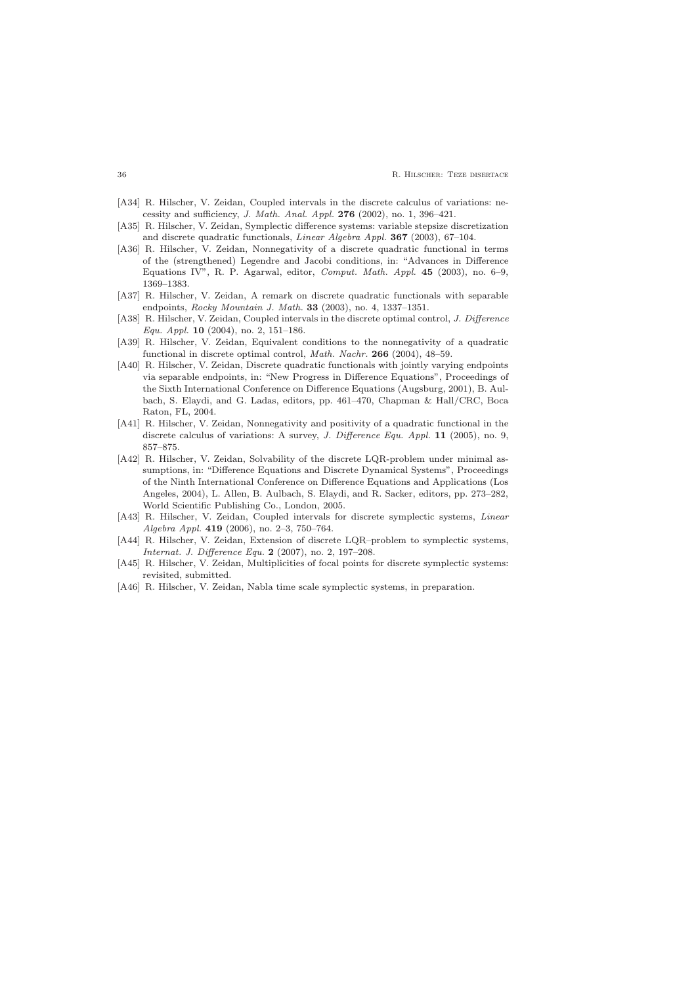- [A34] R. Hilscher, V. Zeidan, Coupled intervals in the discrete calculus of variations: necessity and sufficiency, J. Math. Anal. Appl. 276 (2002), no. 1, 396–421.
- [A35] R. Hilscher, V. Zeidan, Symplectic difference systems: variable stepsize discretization and discrete quadratic functionals, Linear Algebra Appl. 367 (2003), 67–104.
- [A36] R. Hilscher, V. Zeidan, Nonnegativity of a discrete quadratic functional in terms of the (strengthened) Legendre and Jacobi conditions, in: "Advances in Difference Equations IV", R. P. Agarwal, editor, Comput. Math. Appl. 45 (2003), no. 6–9, 1369–1383.
- [A37] R. Hilscher, V. Zeidan, A remark on discrete quadratic functionals with separable endpoints, Rocky Mountain J. Math. 33 (2003), no. 4, 1337–1351.
- [A38] R. Hilscher, V. Zeidan, Coupled intervals in the discrete optimal control, J. Difference Equ. Appl. 10 (2004), no. 2, 151–186.
- [A39] R. Hilscher, V. Zeidan, Equivalent conditions to the nonnegativity of a quadratic functional in discrete optimal control, Math. Nachr. 266 (2004), 48–59.
- [A40] R. Hilscher, V. Zeidan, Discrete quadratic functionals with jointly varying endpoints via separable endpoints, in: "New Progress in Difference Equations", Proceedings of the Sixth International Conference on Difference Equations (Augsburg, 2001), B. Aulbach, S. Elaydi, and G. Ladas, editors, pp. 461–470, Chapman & Hall/CRC, Boca Raton, FL, 2004.
- [A41] R. Hilscher, V. Zeidan, Nonnegativity and positivity of a quadratic functional in the discrete calculus of variations: A survey, J. Difference Equ. Appl. 11 (2005), no. 9, 857–875.
- [A42] R. Hilscher, V. Zeidan, Solvability of the discrete LQR-problem under minimal assumptions, in: "Difference Equations and Discrete Dynamical Systems", Proceedings of the Ninth International Conference on Difference Equations and Applications (Los Angeles, 2004), L. Allen, B. Aulbach, S. Elaydi, and R. Sacker, editors, pp. 273–282, World Scientific Publishing Co., London, 2005.
- [A43] R. Hilscher, V. Zeidan, Coupled intervals for discrete symplectic systems, Linear Algebra Appl. 419 (2006), no. 2–3, 750–764.
- [A44] R. Hilscher, V. Zeidan, Extension of discrete LQR–problem to symplectic systems, Internat. J. Difference Equ. 2 (2007), no. 2, 197–208.
- [A45] R. Hilscher, V. Zeidan, Multiplicities of focal points for discrete symplectic systems: revisited, submitted.
- [A46] R. Hilscher, V. Zeidan, Nabla time scale symplectic systems, in preparation.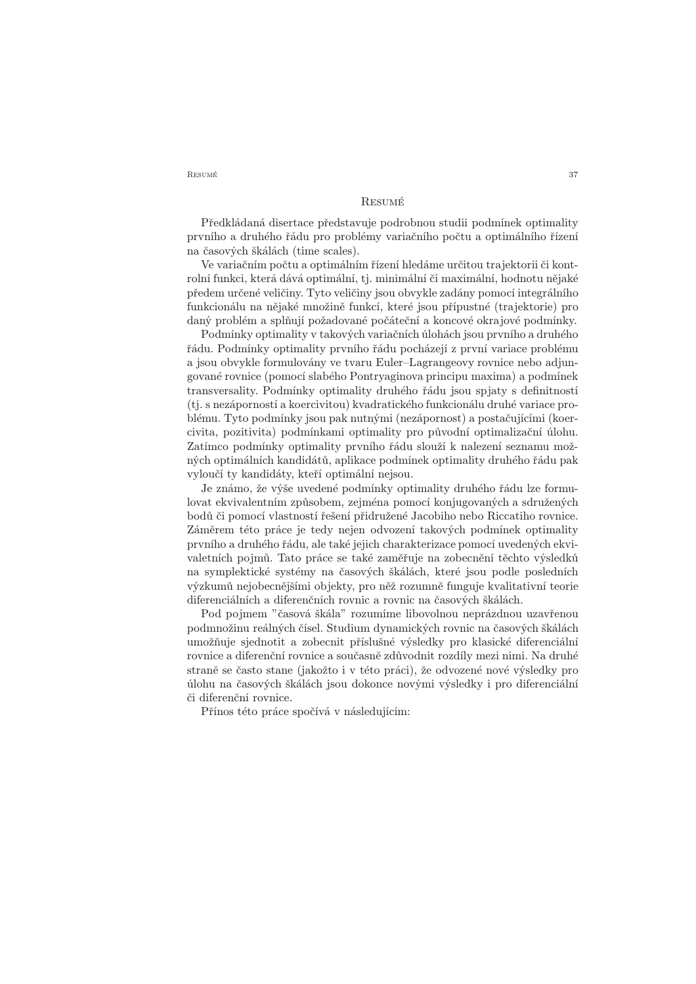RESUMÉ 37

## Resumé

<span id="page-36-0"></span>Předkládaná disertace představuje podrobnou studii podmínek optimality prvního a druhého řádu pro problémy variačního počtu a optimálního řízení na časových škálách (time scales).

Ve variačním počtu a optimálním řízení hledáme určitou trajektorii či kontrolní funkci, která dává optimální, tj. minimální či maximální, hodnotu nějaké předem určené veličiny. Tyto veličiny jsou obvykle zadány pomocí integrálního funkcionálu na nějaké množině funkcí, které jsou přípustné (trajektorie) pro daný problém a splňují požadované počáteční a koncové okrajové podmínky.

Podmínky optimality v takových variačních úlohách jsou prvního a druhého řádu. Podmínky optimality prvního řádu pocházejí z první variace problému a jsou obvykle formulovány ve tvaru Euler–Lagrangeovy rovnice nebo adjungované rovnice (pomocí slabého Pontryaginova principu maxima) a podmínek transversality. Podmínky optimality druhého řádu jsou spjaty s definitností (tj. s nezáporností a koercivitou) kvadratického funkcionálu druhé variace problému. Tyto podmínky jsou pak nutnými (nezápornost) a postačujícími (koercivita, pozitivita) podmínkami optimality pro původní optimalizační úlohu. Zatímco podmínky optimality prvního řádu slouží k nalezení seznamu možných optimálních kandidátů, aplikace podmínek optimality druhého řádu pak vyloučí ty kandidáty, kteří optimální nejsou.

Je známo, že výše uvedené podmínky optimality druhého řádu lze formulovat ekvivalentním způsobem, zejména pomocí konjugovaných a sdružených bodů či pomocí vlastností řešení přidružené Jacobiho nebo Riccatiho rovnice. Záměrem této práce je tedy nejen odvození takových podmínek optimality prvního a druhého řádu, ale také jejich charakterizace pomocí uvedených ekvivaletních pojmů. Tato práce se také zaměřuje na zobecnění těchto výsledků na symplektické systémy na časových škálách, které jsou podle posledních výzkumů nejobecnějšími objekty, pro něž rozumně funguje kvalitativní teorie diferenciálních a diferenčních rovnic a rovnic na časových škálách.

Pod pojmem "časová škála" rozumíme libovolnou neprázdnou uzavřenou podmnožinu reálných čísel. Studium dynamických rovnic na časových škálách umožňuje sjednotit a zobecnit příslušné výsledky pro klasické diferenciální rovnice a diferenční rovnice a současně zdůvodnit rozdíly mezi nimi. Na druhé straně se často stane (jakožto i v této práci), že odvozené nové výsledky pro úlohu na časových škálách jsou dokonce novými výsledky i pro diferenciální či diferenční rovnice.

Přínos této práce spočívá v následujícím: